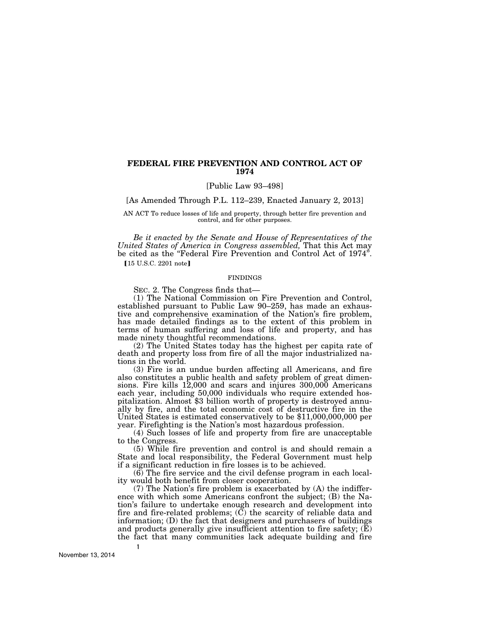# **FEDERAL FIRE PREVENTION AND CONTROL ACT OF 1974**

[Public Law 93–498]

[As Amended Through P.L. 112–239, Enacted January 2, 2013]

AN ACT To reduce losses of life and property, through better fire prevention and control, and for other purposes.

*Be it enacted by the Senate and House of Representatives of the United States of America in Congress assembled,* That this Act may be cited as the "Federal Fire Prevention and Control Act of 1974". [15 U.S.C. 2201 note]

#### FINDINGS

SEC. 2. The Congress finds that—

(1) The National Commission on Fire Prevention and Control, established pursuant to Public Law 90–259, has made an exhaustive and comprehensive examination of the Nation's fire problem, has made detailed findings as to the extent of this problem in terms of human suffering and loss of life and property, and has made ninety thoughtful recommendations.

(2) The United States today has the highest per capita rate of death and property loss from fire of all the major industrialized nations in the world.

(3) Fire is an undue burden affecting all Americans, and fire also constitutes a public health and safety problem of great dimensions. Fire kills 12,000 and scars and injures 300,000 Americans each year, including 50,000 individuals who require extended hospitalization. Almost \$3 billion worth of property is destroyed annually by fire, and the total economic cost of destructive fire in the United States is estimated conservatively to be \$11,000,000,000 per year. Firefighting is the Nation's most hazardous profession.

(4) Such losses of life and property from fire are unacceptable to the Congress.

(5) While fire prevention and control is and should remain a State and local responsibility, the Federal Government must help if a significant reduction in fire losses is to be achieved.

(6) The fire service and the civil defense program in each locality would both benefit from closer cooperation.

(7) The Nation's fire problem is exacerbated by (A) the indifference with which some Americans confront the subject; (B) the Nation's failure to undertake enough research and development into fire and fire-related problems;  $(\check{C})$  the scarcity of reliable data and information; (D) the fact that designers and purchasers of buildings and products generally give insufficient attention to fire safety;  $(\mathbf{\bar{E}})$ the fact that many communities lack adequate building and fire

November 13, 2014

**1**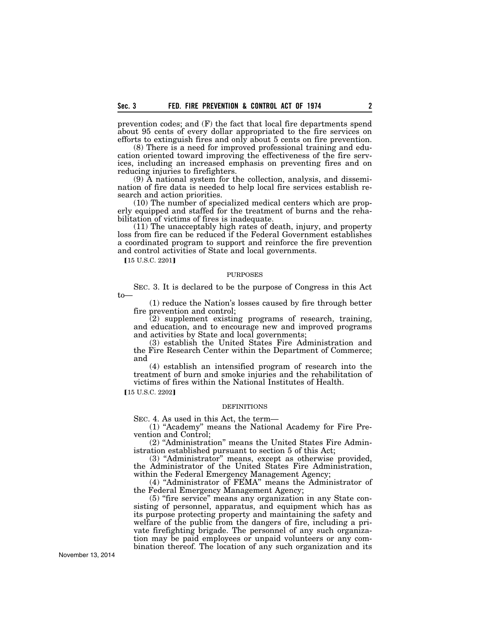prevention codes; and (F) the fact that local fire departments spend about 95 cents of every dollar appropriated to the fire services on efforts to extinguish fires and only about 5 cents on fire prevention.

(8) There is a need for improved professional training and education oriented toward improving the effectiveness of the fire services, including an increased emphasis on preventing fires and on reducing injuries to firefighters.

(9) A national system for the collection, analysis, and dissemination of fire data is needed to help local fire services establish research and action priorities.

(10) The number of specialized medical centers which are properly equipped and staffed for the treatment of burns and the rehabilitation of victims of fires is inadequate.

(11) The unacceptably high rates of death, injury, and property loss from fire can be reduced if the Federal Government establishes a coordinated program to support and reinforce the fire prevention and control activities of State and local governments.

[15 U.S.C. 2201]

#### PURPOSES

SEC. 3. It is declared to be the purpose of Congress in this Act to—

(1) reduce the Nation's losses caused by fire through better fire prevention and control;

(2) supplement existing programs of research, training, and education, and to encourage new and improved programs and activities by State and local governments;

(3) establish the United States Fire Administration and the Fire Research Center within the Department of Commerce; and

(4) establish an intensified program of research into the treatment of burn and smoke injuries and the rehabilitation of victims of fires within the National Institutes of Health.

#### [15 U.S.C. 2202]

#### **DEFINITIONS**

SEC. 4. As used in this Act, the term—

(1) ''Academy'' means the National Academy for Fire Prevention and Control;

(2) ''Administration'' means the United States Fire Administration established pursuant to section 5 of this Act;

(3) "Administrator" means, except as otherwise provided, the Administrator of the United States Fire Administration, within the Federal Emergency Management Agency;

(4) ''Administrator of FEMA'' means the Administrator of the Federal Emergency Management Agency;

(5) ''fire service'' means any organization in any State consisting of personnel, apparatus, and equipment which has as its purpose protecting property and maintaining the safety and welfare of the public from the dangers of fire, including a private firefighting brigade. The personnel of any such organization may be paid employees or unpaid volunteers or any combination thereof. The location of any such organization and its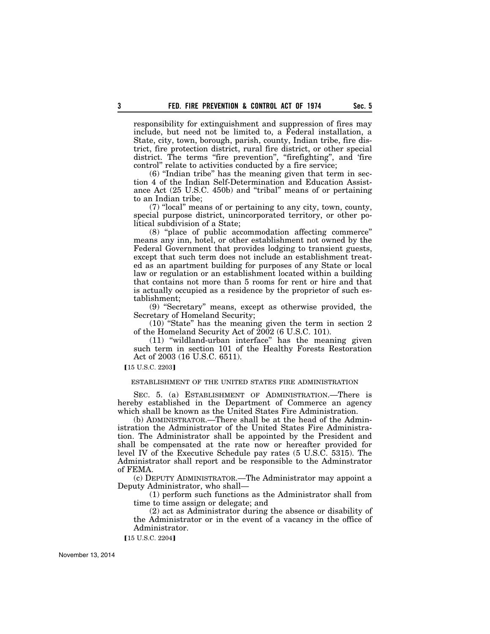responsibility for extinguishment and suppression of fires may include, but need not be limited to, a Federal installation, a State, city, town, borough, parish, county, Indian tribe, fire district, fire protection district, rural fire district, or other special district. The terms "fire prevention", "firefighting", and 'fire control'' relate to activities conducted by a fire service;

(6) ''Indian tribe'' has the meaning given that term in section 4 of the Indian Self-Determination and Education Assistance Act (25 U.S.C. 450b) and ''tribal'' means of or pertaining to an Indian tribe;

(7) ''local'' means of or pertaining to any city, town, county, special purpose district, unincorporated territory, or other political subdivision of a State;

(8) ''place of public accommodation affecting commerce'' means any inn, hotel, or other establishment not owned by the Federal Government that provides lodging to transient guests, except that such term does not include an establishment treated as an apartment building for purposes of any State or local law or regulation or an establishment located within a building that contains not more than 5 rooms for rent or hire and that is actually occupied as a residence by the proprietor of such establishment;

(9) ''Secretary'' means, except as otherwise provided, the Secretary of Homeland Security;

(10) ''State'' has the meaning given the term in section 2 of the Homeland Security Act of 2002 (6 U.S.C. 101).

(11) ''wildland-urban interface'' has the meaning given such term in section 101 of the Healthy Forests Restoration Act of 2003 (16 U.S.C. 6511).

**[15 U.S.C. 2203]** 

# ESTABLISHMENT OF THE UNITED STATES FIRE ADMINISTRATION

SEC. 5. (a) ESTABLISHMENT OF ADMINISTRATION.—There is hereby established in the Department of Commerce an agency which shall be known as the United States Fire Administration.

(b) ADMINISTRATOR.—There shall be at the head of the Administration the Administrator of the United States Fire Administration. The Administrator shall be appointed by the President and shall be compensated at the rate now or hereafter provided for level IV of the Executive Schedule pay rates (5 U.S.C. 5315). The Administrator shall report and be responsible to the Adminstrator of FEMA.

(c) DEPUTY ADMINISTRATOR.—The Administrator may appoint a Deputy Administrator, who shall—

(1) perform such functions as the Administrator shall from time to time assign or delegate; and

(2) act as Administrator during the absence or disability of the Administrator or in the event of a vacancy in the office of Administrator.

[15 U.S.C. 2204]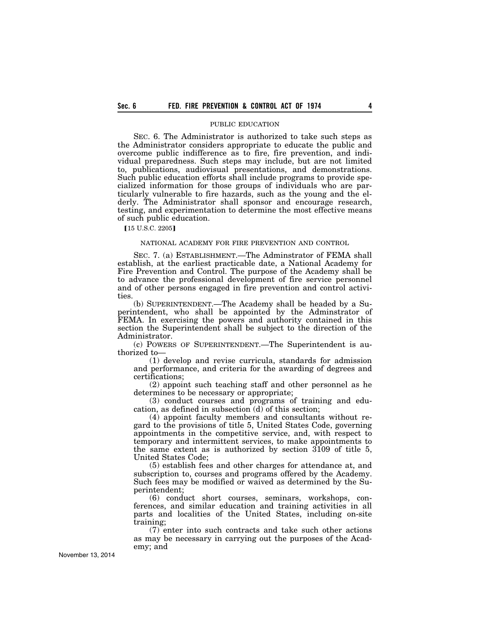### PUBLIC EDUCATION

SEC. 6. The Administrator is authorized to take such steps as the Administrator considers appropriate to educate the public and overcome public indifference as to fire, fire prevention, and individual preparedness. Such steps may include, but are not limited to, publications, audiovisual presentations, and demonstrations. Such public education efforts shall include programs to provide specialized information for those groups of individuals who are particularly vulnerable to fire hazards, such as the young and the elderly. The Administrator shall sponsor and encourage research, testing, and experimentation to determine the most effective means of such public education.

**[15 U.S.C. 2205]** 

### NATIONAL ACADEMY FOR FIRE PREVENTION AND CONTROL

SEC. 7. (a) ESTABLISHMENT.—The Adminstrator of FEMA shall establish, at the earliest practicable date, a National Academy for Fire Prevention and Control. The purpose of the Academy shall be to advance the professional development of fire service personnel and of other persons engaged in fire prevention and control activities.

(b) SUPERINTENDENT.—The Academy shall be headed by a Superintendent, who shall be appointed by the Adminstrator of FEMA. In exercising the powers and authority contained in this section the Superintendent shall be subject to the direction of the Administrator.

(c) POWERS OF SUPERINTENDENT.—The Superintendent is authorized to—

(1) develop and revise curricula, standards for admission and performance, and criteria for the awarding of degrees and certifications;

(2) appoint such teaching staff and other personnel as he determines to be necessary or appropriate;

(3) conduct courses and programs of training and education, as defined in subsection (d) of this section;

(4) appoint faculty members and consultants without regard to the provisions of title 5, United States Code, governing appointments in the competitive service, and, with respect to temporary and intermittent services, to make appointments to the same extent as is authorized by section 3109 of title 5, United States Code;

(5) establish fees and other charges for attendance at, and subscription to, courses and programs offered by the Academy. Such fees may be modified or waived as determined by the Superintendent;

(6) conduct short courses, seminars, workshops, conferences, and similar education and training activities in all parts and localities of the United States, including on-site training;

(7) enter into such contracts and take such other actions as may be necessary in carrying out the purposes of the Academy; and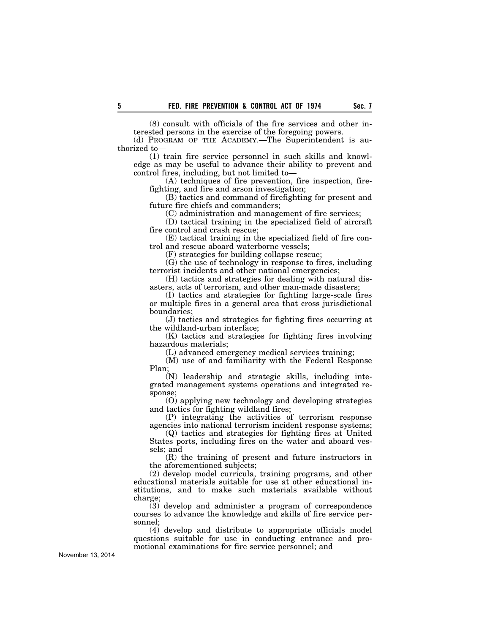(8) consult with officials of the fire services and other interested persons in the exercise of the foregoing powers.

(d) PROGRAM OF THE ACADEMY.—The Superintendent is authorized to—

(1) train fire service personnel in such skills and knowledge as may be useful to advance their ability to prevent and control fires, including, but not limited to—

(A) techniques of fire prevention, fire inspection, firefighting, and fire and arson investigation;

(B) tactics and command of firefighting for present and future fire chiefs and commanders;

(C) administration and management of fire services;

(D) tactical training in the specialized field of aircraft fire control and crash rescue;

(E) tactical training in the specialized field of fire control and rescue aboard waterborne vessels;

(F) strategies for building collapse rescue;

(G) the use of technology in response to fires, including terrorist incidents and other national emergencies;

(H) tactics and strategies for dealing with natural disasters, acts of terrorism, and other man-made disasters;

(I) tactics and strategies for fighting large-scale fires or multiple fires in a general area that cross jurisdictional boundaries;

(J) tactics and strategies for fighting fires occurring at the wildland-urban interface;

(K) tactics and strategies for fighting fires involving hazardous materials;

(L) advanced emergency medical services training;

(M) use of and familiarity with the Federal Response Plan;

(N) leadership and strategic skills, including integrated management systems operations and integrated response;

(O) applying new technology and developing strategies and tactics for fighting wildland fires;

(P) integrating the activities of terrorism response agencies into national terrorism incident response systems;

(Q) tactics and strategies for fighting fires at United States ports, including fires on the water and aboard vessels; and

(R) the training of present and future instructors in the aforementioned subjects;

(2) develop model curricula, training programs, and other educational materials suitable for use at other educational institutions, and to make such materials available without charge;

(3) develop and administer a program of correspondence courses to advance the knowledge and skills of fire service personnel;

(4) develop and distribute to appropriate officials model questions suitable for use in conducting entrance and promotional examinations for fire service personnel; and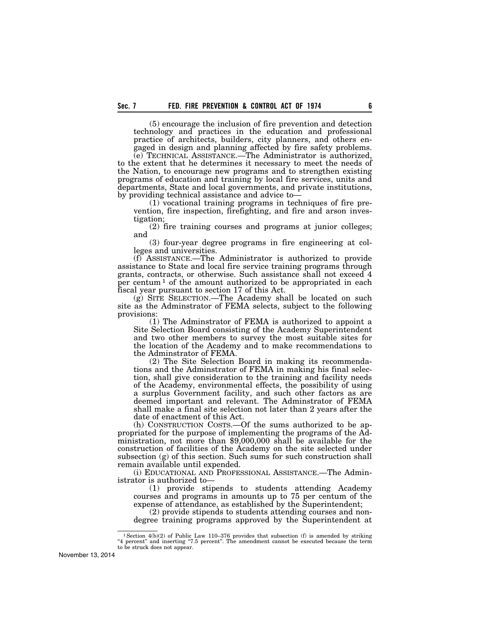(5) encourage the inclusion of fire prevention and detection technology and practices in the education and professional practice of architects, builders, city planners, and others engaged in design and planning affected by fire safety problems.

(e) TECHNICAL ASSISTANCE.—The Administrator is authorized, to the extent that he determines it necessary to meet the needs of the Nation, to encourage new programs and to strengthen existing programs of education and training by local fire services, units and departments, State and local governments, and private institutions, by providing technical assistance and advice to—

(1) vocational training programs in techniques of fire prevention, fire inspection, firefighting, and fire and arson investigation;

(2) fire training courses and programs at junior colleges; and

(3) four-year degree programs in fire engineering at colleges and universities.

(f) ASSISTANCE.—The Administrator is authorized to provide assistance to State and local fire service training programs through grants, contracts, or otherwise. Such assistance shall not exceed 4 per centum<sup>1</sup> of the amount authorized to be appropriated in each fiscal year pursuant to section 17 of this Act.

(g) SITE SELECTION.—The Academy shall be located on such site as the Adminstrator of FEMA selects, subject to the following provisions:

(1) The Adminstrator of FEMA is authorized to appoint a Site Selection Board consisting of the Academy Superintendent and two other members to survey the most suitable sites for the location of the Academy and to make recommendations to the Adminstrator of FEMA.

(2) The Site Selection Board in making its recommendations and the Adminstrator of FEMA in making his final selection, shall give consideration to the training and facility needs of the Academy, environmental effects, the possibility of using a surplus Government facility, and such other factors as are deemed important and relevant. The Adminstrator of FEMA shall make a final site selection not later than 2 years after the date of enactment of this Act.

(h) CONSTRUCTION COSTS.—Of the sums authorized to be appropriated for the purpose of implementing the programs of the Administration, not more than \$9,000,000 shall be available for the construction of facilities of the Academy on the site selected under subsection (g) of this section. Such sums for such construction shall remain available until expended.

(i) EDUCATIONAL AND PROFESSIONAL ASSISTANCE.—The Administrator is authorized to—

(1) provide stipends to students attending Academy courses and programs in amounts up to 75 per centum of the expense of attendance, as established by the Superintendent;

(2) provide stipends to students attending courses and nondegree training programs approved by the Superintendent at

<sup>&</sup>lt;sup>1</sup> Section  $4(b)(2)$  of Public Law 110–376 provides that subsection (f) is amended by striking "4 percent" and inserting "7.5 percent". The amendment cannot be executed because the term to be struck does not appear.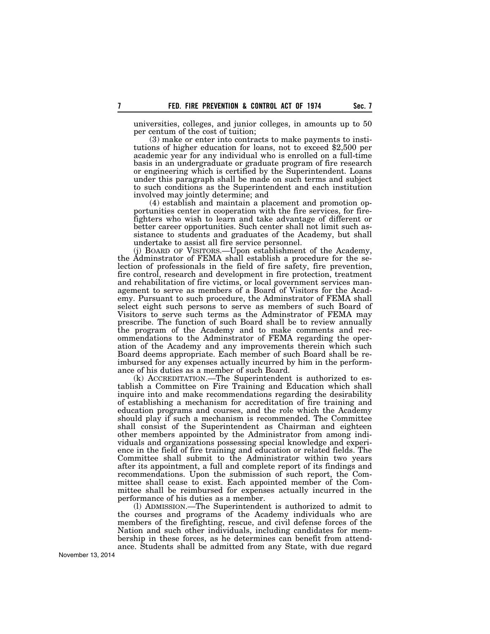universities, colleges, and junior colleges, in amounts up to 50 per centum of the cost of tuition;<br>(3) make or enter into contracts to make payments to insti-

tutions of higher education for loans, not to exceed \$2,500 per academic year for any individual who is enrolled on a full-time basis in an undergraduate or graduate program of fire research or engineering which is certified by the Superintendent. Loans under this paragraph shall be made on such terms and subject to such conditions as the Superintendent and each institution involved may jointly determine; and

(4) establish and maintain a placement and promotion opportunities center in cooperation with the fire services, for firefighters who wish to learn and take advantage of different or better career opportunities. Such center shall not limit such assistance to students and graduates of the Academy, but shall undertake to assist all fire service personnel.

(j) BOARD OF VISITORS.—Upon establishment of the Academy, the Adminstrator of FEMA shall establish a procedure for the selection of professionals in the field of fire safety, fire prevention, fire control, research and development in fire protection, treatment and rehabilitation of fire victims, or local government services management to serve as members of a Board of Visitors for the Academy. Pursuant to such procedure, the Adminstrator of FEMA shall select eight such persons to serve as members of such Board of Visitors to serve such terms as the Adminstrator of FEMA may prescribe. The function of such Board shall be to review annually the program of the Academy and to make comments and recommendations to the Adminstrator of FEMA regarding the operation of the Academy and any improvements therein which such Board deems appropriate. Each member of such Board shall be reimbursed for any expenses actually incurred by him in the performance of his duties as a member of such Board.

(k) ACCREDITATION.—The Superintendent is authorized to establish a Committee on Fire Training and Education which shall inquire into and make recommendations regarding the desirability of establishing a mechanism for accreditation of fire training and education programs and courses, and the role which the Academy should play if such a mechanism is recommended. The Committee shall consist of the Superintendent as Chairman and eighteen other members appointed by the Administrator from among individuals and organizations possessing special knowledge and experience in the field of fire training and education or related fields. The Committee shall submit to the Administrator within two years after its appointment, a full and complete report of its findings and recommendations. Upon the submission of such report, the Committee shall cease to exist. Each appointed member of the Committee shall be reimbursed for expenses actually incurred in the performance of his duties as a member.

(l) ADMISSION.—The Superintendent is authorized to admit to the courses and programs of the Academy individuals who are members of the firefighting, rescue, and civil defense forces of the Nation and such other individuals, including candidates for membership in these forces, as he determines can benefit from attendance. Students shall be admitted from any State, with due regard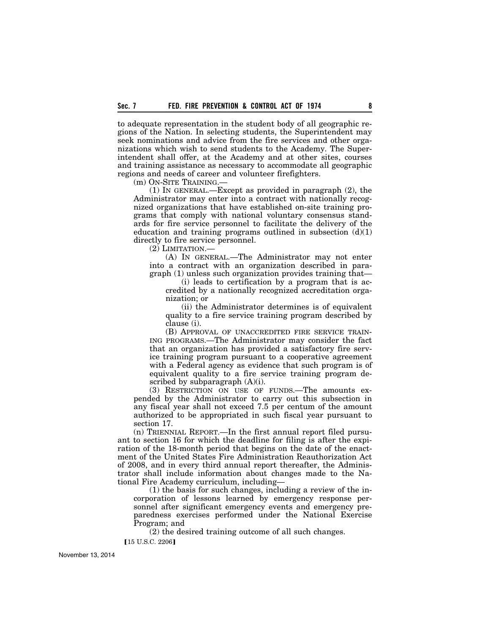to adequate representation in the student body of all geographic regions of the Nation. In selecting students, the Superintendent may seek nominations and advice from the fire services and other organizations which wish to send students to the Academy. The Superintendent shall offer, at the Academy and at other sites, courses and training assistance as necessary to accommodate all geographic regions and needs of career and volunteer firefighters.

(m) ON-SITE TRAINING.—

(1) IN GENERAL.—Except as provided in paragraph (2), the Administrator may enter into a contract with nationally recognized organizations that have established on-site training programs that comply with national voluntary consensus standards for fire service personnel to facilitate the delivery of the education and training programs outlined in subsection  $(d)(1)$ directly to fire service personnel.

(2) LIMITATION.—

(A) IN GENERAL.—The Administrator may not enter into a contract with an organization described in paragraph (1) unless such organization provides training that—

(i) leads to certification by a program that is accredited by a nationally recognized accreditation organization; or

(ii) the Administrator determines is of equivalent quality to a fire service training program described by clause (i).

(B) APPROVAL OF UNACCREDITED FIRE SERVICE TRAIN-ING PROGRAMS.—The Administrator may consider the fact that an organization has provided a satisfactory fire service training program pursuant to a cooperative agreement with a Federal agency as evidence that such program is of equivalent quality to a fire service training program described by subparagraph  $(A)(i)$ .

(3) RESTRICTION ON USE OF FUNDS.—The amounts expended by the Administrator to carry out this subsection in any fiscal year shall not exceed 7.5 per centum of the amount authorized to be appropriated in such fiscal year pursuant to section 17.

(n) TRIENNIAL REPORT.—In the first annual report filed pursuant to section 16 for which the deadline for filing is after the expiration of the 18-month period that begins on the date of the enactment of the United States Fire Administration Reauthorization Act of 2008, and in every third annual report thereafter, the Administrator shall include information about changes made to the National Fire Academy curriculum, including—

(1) the basis for such changes, including a review of the incorporation of lessons learned by emergency response personnel after significant emergency events and emergency preparedness exercises performed under the National Exercise Program; and

(2) the desired training outcome of all such changes.

 $[15 \text{ U.S.C. } 2206]$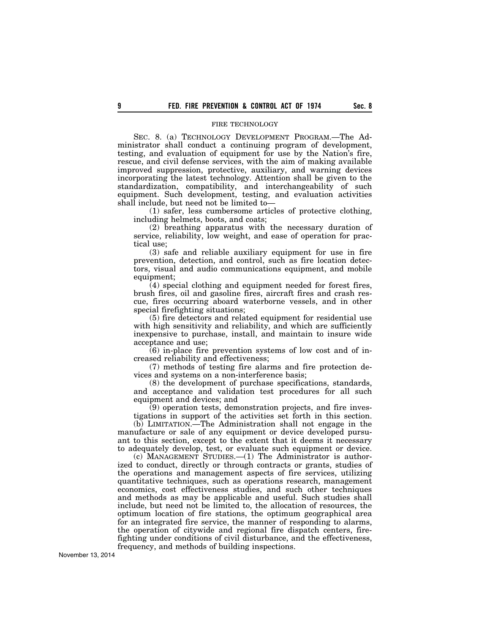# FIRE TECHNOLOGY

SEC. 8. (a) TECHNOLOGY DEVELOPMENT PROGRAM.—The Administrator shall conduct a continuing program of development, testing, and evaluation of equipment for use by the Nation's fire, rescue, and civil defense services, with the aim of making available improved suppression, protective, auxiliary, and warning devices incorporating the latest technology. Attention shall be given to the standardization, compatibility, and interchangeability of such equipment. Such development, testing, and evaluation activities shall include, but need not be limited to—

(1) safer, less cumbersome articles of protective clothing, including helmets, boots, and coats;

(2) breathing apparatus with the necessary duration of service, reliability, low weight, and ease of operation for practical use;

(3) safe and reliable auxiliary equipment for use in fire prevention, detection, and control, such as fire location detectors, visual and audio communications equipment, and mobile equipment;

 $(4)$  special clothing and equipment needed for forest fires, brush fires, oil and gasoline fires, aircraft fires and crash rescue, fires occurring aboard waterborne vessels, and in other special firefighting situations;

(5) fire detectors and related equipment for residential use with high sensitivity and reliability, and which are sufficiently inexpensive to purchase, install, and maintain to insure wide acceptance and use;

(6) in-place fire prevention systems of low cost and of increased reliability and effectiveness;

(7) methods of testing fire alarms and fire protection devices and systems on a non-interference basis;

(8) the development of purchase specifications, standards, and acceptance and validation test procedures for all such equipment and devices; and

(9) operation tests, demonstration projects, and fire investigations in support of the activities set forth in this section.

(b) LIMITATION.—The Administration shall not engage in the manufacture or sale of any equipment or device developed pursuant to this section, except to the extent that it deems it necessary to adequately develop, test, or evaluate such equipment or device.

(c) MANAGEMENT STUDIES.—(1) The Administrator is authorized to conduct, directly or through contracts or grants, studies of the operations and management aspects of fire services, utilizing quantitative techniques, such as operations research, management economics, cost effectiveness studies, and such other techniques and methods as may be applicable and useful. Such studies shall include, but need not be limited to, the allocation of resources, the optimum location of fire stations, the optimum geographical area for an integrated fire service, the manner of responding to alarms, the operation of citywide and regional fire dispatch centers, firefighting under conditions of civil disturbance, and the effectiveness, frequency, and methods of building inspections.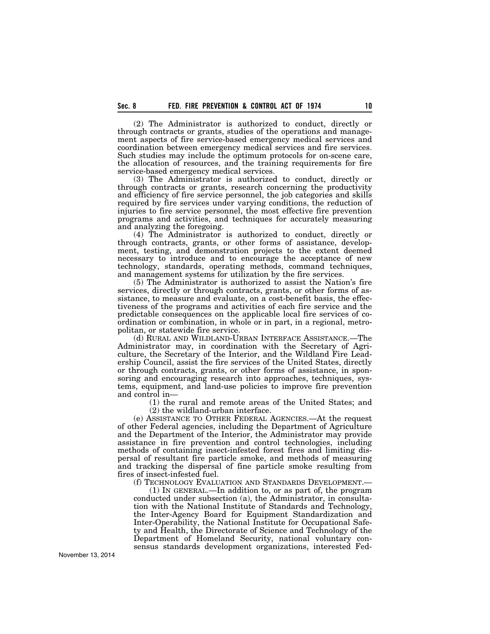(2) The Administrator is authorized to conduct, directly or through contracts or grants, studies of the operations and management aspects of fire service-based emergency medical services and coordination between emergency medical services and fire services. Such studies may include the optimum protocols for on-scene care, the allocation of resources, and the training requirements for fire service-based emergency medical services.

(3) The Administrator is authorized to conduct, directly or through contracts or grants, research concerning the productivity and efficiency of fire service personnel, the job categories and skills required by fire services under varying conditions, the reduction of injuries to fire service personnel, the most effective fire prevention programs and activities, and techniques for accurately measuring and analyzing the foregoing.

(4) The Administrator is authorized to conduct, directly or through contracts, grants, or other forms of assistance, development, testing, and demonstration projects to the extent deemed necessary to introduce and to encourage the acceptance of new technology, standards, operating methods, command techniques, and management systems for utilization by the fire services.

(5) The Administrator is authorized to assist the Nation's fire services, directly or through contracts, grants, or other forms of assistance, to measure and evaluate, on a cost-benefit basis, the effectiveness of the programs and activities of each fire service and the predictable consequences on the applicable local fire services of coordination or combination, in whole or in part, in a regional, metropolitan, or statewide fire service.

(d) RURAL AND WILDLAND-URBAN INTERFACE ASSISTANCE.—The Administrator may, in coordination with the Secretary of Agriculture, the Secretary of the Interior, and the Wildland Fire Leadership Council, assist the fire services of the United States, directly or through contracts, grants, or other forms of assistance, in sponsoring and encouraging research into approaches, techniques, systems, equipment, and land-use policies to improve fire prevention and control in—

(1) the rural and remote areas of the United States; and (2) the wildland-urban interface.

(e) ASSISTANCE TO OTHER FEDERAL AGENCIES.—At the request of other Federal agencies, including the Department of Agriculture and the Department of the Interior, the Administrator may provide assistance in fire prevention and control technologies, including methods of containing insect-infested forest fires and limiting dispersal of resultant fire particle smoke, and methods of measuring and tracking the dispersal of fine particle smoke resulting from fires of insect-infested fuel.

(f) TECHNOLOGY EVALUATION AND STANDARDS DEVELOPMENT.—

(1) IN GENERAL.—In addition to, or as part of, the program conducted under subsection (a), the Administrator, in consultation with the National Institute of Standards and Technology, the Inter-Agency Board for Equipment Standardization and Inter-Operability, the National Institute for Occupational Safety and Health, the Directorate of Science and Technology of the Department of Homeland Security, national voluntary consensus standards development organizations, interested Fed-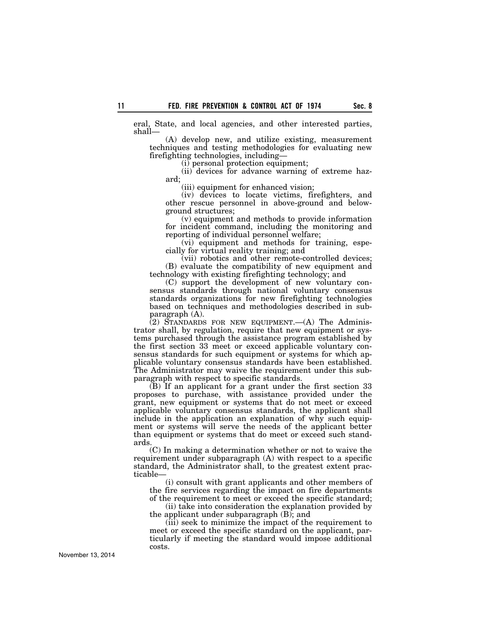eral, State, and local agencies, and other interested parties, shall—

(A) develop new, and utilize existing, measurement techniques and testing methodologies for evaluating new firefighting technologies, including—

(i) personal protection equipment;

(ii) devices for advance warning of extreme hazard;

(iii) equipment for enhanced vision;

(iv) devices to locate victims, firefighters, and other rescue personnel in above-ground and belowground structures;

(v) equipment and methods to provide information for incident command, including the monitoring and reporting of individual personnel welfare;

(vi) equipment and methods for training, especially for virtual reality training; and

(vii) robotics and other remote-controlled devices; (B) evaluate the compatibility of new equipment and technology with existing firefighting technology; and

(C) support the development of new voluntary consensus standards through national voluntary consensus standards organizations for new firefighting technologies based on techniques and methodologies described in subparagraph (A).

(2) STANDARDS FOR NEW EQUIPMENT.—(A) The Administrator shall, by regulation, require that new equipment or systems purchased through the assistance program established by the first section 33 meet or exceed applicable voluntary consensus standards for such equipment or systems for which applicable voluntary consensus standards have been established. The Administrator may waive the requirement under this subparagraph with respect to specific standards.

(B) If an applicant for a grant under the first section 33 proposes to purchase, with assistance provided under the grant, new equipment or systems that do not meet or exceed applicable voluntary consensus standards, the applicant shall include in the application an explanation of why such equipment or systems will serve the needs of the applicant better than equipment or systems that do meet or exceed such standards.

(C) In making a determination whether or not to waive the requirement under subparagraph (A) with respect to a specific standard, the Administrator shall, to the greatest extent practicable—

(i) consult with grant applicants and other members of the fire services regarding the impact on fire departments of the requirement to meet or exceed the specific standard;

(ii) take into consideration the explanation provided by the applicant under subparagraph (B); and

(iii) seek to minimize the impact of the requirement to meet or exceed the specific standard on the applicant, particularly if meeting the standard would impose additional costs.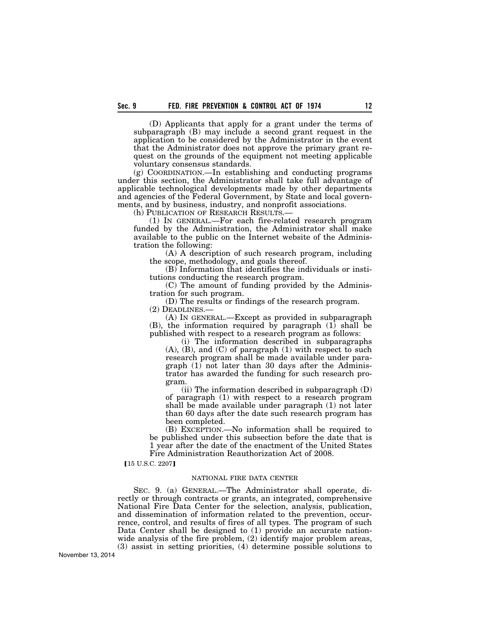(D) Applicants that apply for a grant under the terms of subparagraph (B) may include a second grant request in the application to be considered by the Administrator in the event that the Administrator does not approve the primary grant request on the grounds of the equipment not meeting applicable voluntary consensus standards.

(g) COORDINATION.—In establishing and conducting programs under this section, the Administrator shall take full advantage of applicable technological developments made by other departments and agencies of the Federal Government, by State and local governments, and by business, industry, and nonprofit associations.

(h) PUBLICATION OF RESEARCH RESULTS.—

(1) IN GENERAL.—For each fire-related research program funded by the Administration, the Administrator shall make available to the public on the Internet website of the Administration the following:

(A) A description of such research program, including the scope, methodology, and goals thereof.

(B) Information that identifies the individuals or institutions conducting the research program.

(C) The amount of funding provided by the Administration for such program.

(D) The results or findings of the research program. (2) DEADLINES.—

(A) IN GENERAL.—Except as provided in subparagraph (B), the information required by paragraph (1) shall be published with respect to a research program as follows:

(i) The information described in subparagraphs (A), (B), and (C) of paragraph (1) with respect to such research program shall be made available under paragraph  $(1)$  not later than 30 days after the Administrator has awarded the funding for such research program.

(ii) The information described in subparagraph (D) of paragraph (1) with respect to a research program shall be made available under paragraph (1) not later than 60 days after the date such research program has been completed.

(B) EXCEPTION.—No information shall be required to be published under this subsection before the date that is 1 year after the date of the enactment of the United States Fire Administration Reauthorization Act of 2008.

[15 U.S.C. 2207]

#### NATIONAL FIRE DATA CENTER

SEC. 9. (a) GENERAL.—The Administrator shall operate, directly or through contracts or grants, an integrated, comprehensive National Fire Data Center for the selection, analysis, publication, and dissemination of information related to the prevention, occurrence, control, and results of fires of all types. The program of such Data Center shall be designed to (1) provide an accurate nationwide analysis of the fire problem, (2) identify major problem areas, (3) assist in setting priorities, (4) determine possible solutions to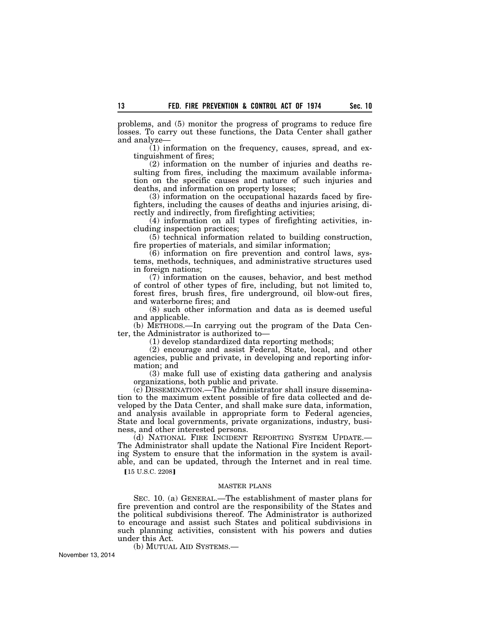problems, and (5) monitor the progress of programs to reduce fire losses. To carry out these functions, the Data Center shall gather and analyze—

(1) information on the frequency, causes, spread, and extinguishment of fires;

(2) information on the number of injuries and deaths resulting from fires, including the maximum available information on the specific causes and nature of such injuries and deaths, and information on property losses;

(3) information on the occupational hazards faced by firefighters, including the causes of deaths and injuries arising, directly and indirectly, from firefighting activities;

(4) information on all types of firefighting activities, including inspection practices;

(5) technical information related to building construction, fire properties of materials, and similar information;

(6) information on fire prevention and control laws, systems, methods, techniques, and administrative structures used in foreign nations;

(7) information on the causes, behavior, and best method of control of other types of fire, including, but not limited to, forest fires, brush fires, fire underground, oil blow-out fires, and waterborne fires; and

(8) such other information and data as is deemed useful and applicable.

(b) METHODS.—In carrying out the program of the Data Center, the Administrator is authorized to—

(1) develop standardized data reporting methods;

(2) encourage and assist Federal, State, local, and other agencies, public and private, in developing and reporting information; and

(3) make full use of existing data gathering and analysis organizations, both public and private.

(c) DISSEMINATION.—The Administrator shall insure dissemination to the maximum extent possible of fire data collected and developed by the Data Center, and shall make sure data, information, and analysis available in appropriate form to Federal agencies, State and local governments, private organizations, industry, business, and other interested persons.

(d) NATIONAL FIRE INCIDENT REPORTING SYSTEM UPDATE.— The Administrator shall update the National Fire Incident Reporting System to ensure that the information in the system is available, and can be updated, through the Internet and in real time.

**[15 U.S.C. 2208]** 

### MASTER PLANS

SEC. 10. (a) GENERAL.—The establishment of master plans for fire prevention and control are the responsibility of the States and the political subdivisions thereof. The Administrator is authorized to encourage and assist such States and political subdivisions in such planning activities, consistent with his powers and duties under this Act.

(b) MUTUAL AID SYSTEMS.—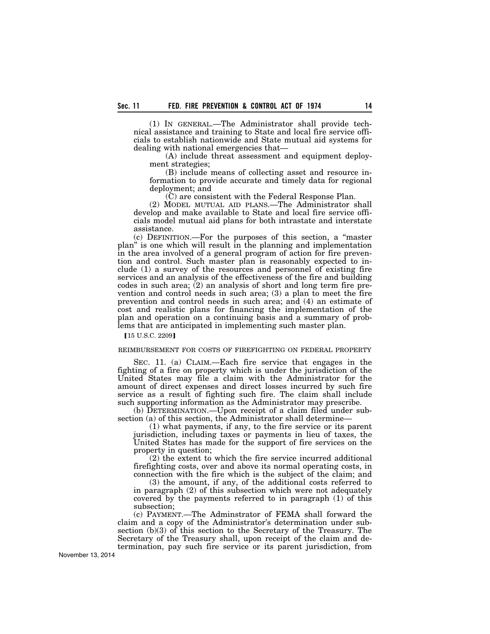(1) IN GENERAL.—The Administrator shall provide technical assistance and training to State and local fire service officials to establish nationwide and State mutual aid systems for dealing with national emergencies that—

(A) include threat assessment and equipment deployment strategies;

(B) include means of collecting asset and resource information to provide accurate and timely data for regional deployment; and

(C) are consistent with the Federal Response Plan.

(2) MODEL MUTUAL AID PLANS.—The Administrator shall develop and make available to State and local fire service officials model mutual aid plans for both intrastate and interstate assistance.

(c) DEFINITION.—For the purposes of this section, a ''master plan'' is one which will result in the planning and implementation in the area involved of a general program of action for fire prevention and control. Such master plan is reasonably expected to include (1) a survey of the resources and personnel of existing fire services and an analysis of the effectiveness of the fire and building codes in such area;  $(2)$  an analysis of short and long term fire prevention and control needs in such area; (3) a plan to meet the fire prevention and control needs in such area; and (4) an estimate of cost and realistic plans for financing the implementation of the plan and operation on a continuing basis and a summary of problems that are anticipated in implementing such master plan.

[15 U.S.C. 2209]

### REIMBURSEMENT FOR COSTS OF FIREFIGHTING ON FEDERAL PROPERTY

SEC. 11. (a) CLAIM.—Each fire service that engages in the fighting of a fire on property which is under the jurisdiction of the United States may file a claim with the Administrator for the amount of direct expenses and direct losses incurred by such fire service as a result of fighting such fire. The claim shall include such supporting information as the Administrator may prescribe.

(b) DETERMINATION.—Upon receipt of a claim filed under subsection (a) of this section, the Administrator shall determine—

(1) what payments, if any, to the fire service or its parent jurisdiction, including taxes or payments in lieu of taxes, the United States has made for the support of fire services on the property in question;

(2) the extent to which the fire service incurred additional firefighting costs, over and above its normal operating costs, in connection with the fire which is the subject of the claim; and

(3) the amount, if any, of the additional costs referred to in paragraph (2) of this subsection which were not adequately covered by the payments referred to in paragraph (1) of this subsection;

(c) PAYMENT.—The Adminstrator of FEMA shall forward the claim and a copy of the Administrator's determination under subsection (b)(3) of this section to the Secretary of the Treasury. The Secretary of the Treasury shall, upon receipt of the claim and determination, pay such fire service or its parent jurisdiction, from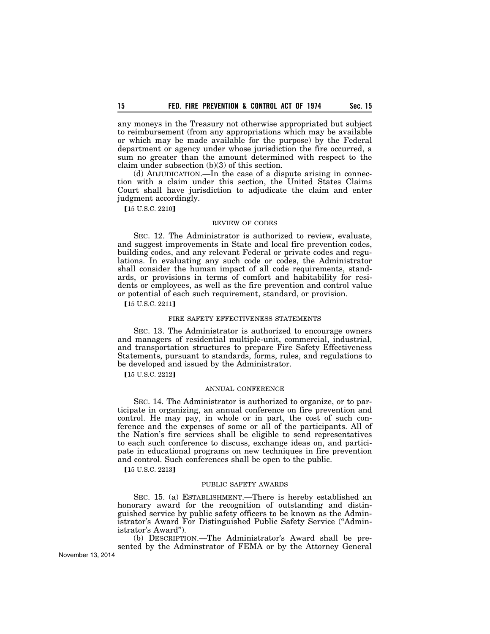any moneys in the Treasury not otherwise appropriated but subject to reimbursement (from any appropriations which may be available or which may be made available for the purpose) by the Federal department or agency under whose jurisdiction the fire occurred, a sum no greater than the amount determined with respect to the claim under subsection (b)(3) of this section.

(d) ADJUDICATION.—In the case of a dispute arising in connection with a claim under this section, the United States Claims Court shall have jurisdiction to adjudicate the claim and enter judgment accordingly.

**[15 U.S.C. 2210]** 

#### REVIEW OF CODES

SEC. 12. The Administrator is authorized to review, evaluate, and suggest improvements in State and local fire prevention codes, building codes, and any relevant Federal or private codes and regulations. In evaluating any such code or codes, the Administrator shall consider the human impact of all code requirements, standards, or provisions in terms of comfort and habitability for residents or employees, as well as the fire prevention and control value or potential of each such requirement, standard, or provision.

[15 U.S.C. 2211]

### FIRE SAFETY EFFECTIVENESS STATEMENTS

SEC. 13. The Administrator is authorized to encourage owners and managers of residential multiple-unit, commercial, industrial, and transportation structures to prepare Fire Safety Effectiveness Statements, pursuant to standards, forms, rules, and regulations to be developed and issued by the Administrator.

**[15 U.S.C. 2212]** 

# ANNUAL CONFERENCE

SEC. 14. The Administrator is authorized to organize, or to participate in organizing, an annual conference on fire prevention and control. He may pay, in whole or in part, the cost of such conference and the expenses of some or all of the participants. All of the Nation's fire services shall be eligible to send representatives to each such conference to discuss, exchange ideas on, and participate in educational programs on new techniques in fire prevention and control. Such conferences shall be open to the public.

[15 U.S.C. 2213]

## PUBLIC SAFETY AWARDS

SEC. 15. (a) ESTABLISHMENT.—There is hereby established an honorary award for the recognition of outstanding and distinguished service by public safety officers to be known as the Administrator's Award For Distinguished Public Safety Service (''Administrator's Award'').

(b) DESCRIPTION.—The Administrator's Award shall be presented by the Adminstrator of FEMA or by the Attorney General November 13, 2014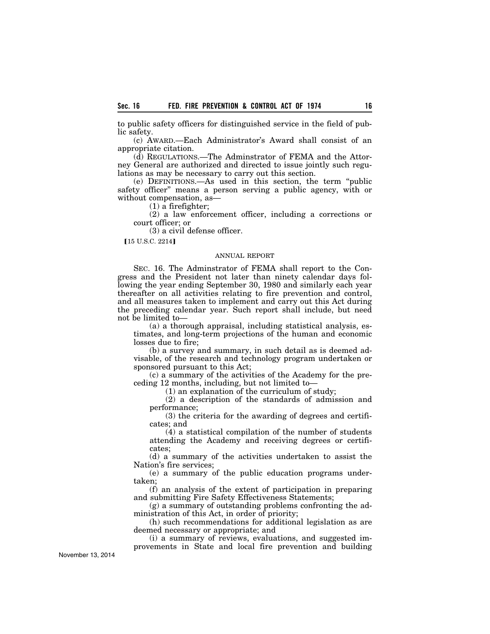to public safety officers for distinguished service in the field of public safety.

(c) AWARD.—Each Administrator's Award shall consist of an appropriate citation.

(d) REGULATIONS.—The Adminstrator of FEMA and the Attorney General are authorized and directed to issue jointly such regulations as may be necessary to carry out this section.

(e) DEFINITIONS.—As used in this section, the term ''public safety officer'' means a person serving a public agency, with or without compensation, as—

(1) a firefighter;

(2) a law enforcement officer, including a corrections or court officer; or

(3) a civil defense officer.

 $[15 \text{ U.S.C. } 2214]$ 

# ANNUAL REPORT

SEC. 16. The Adminstrator of FEMA shall report to the Congress and the President not later than ninety calendar days following the year ending September 30, 1980 and similarly each year thereafter on all activities relating to fire prevention and control, and all measures taken to implement and carry out this Act during the preceding calendar year. Such report shall include, but need not be limited to—

(a) a thorough appraisal, including statistical analysis, estimates, and long-term projections of the human and economic losses due to fire;

(b) a survey and summary, in such detail as is deemed advisable, of the research and technology program undertaken or sponsored pursuant to this Act;

(c) a summary of the activities of the Academy for the preceding 12 months, including, but not limited to—

(1) an explanation of the curriculum of study;

(2) a description of the standards of admission and performance;

(3) the criteria for the awarding of degrees and certificates; and

(4) a statistical compilation of the number of students attending the Academy and receiving degrees or certificates;

(d) a summary of the activities undertaken to assist the Nation's fire services;

(e) a summary of the public education programs undertaken;

(f) an analysis of the extent of participation in preparing and submitting Fire Safety Effectiveness Statements;

(g) a summary of outstanding problems confronting the administration of this Act, in order of priority;

(h) such recommendations for additional legislation as are deemed necessary or appropriate; and

(i) a summary of reviews, evaluations, and suggested improvements in State and local fire prevention and building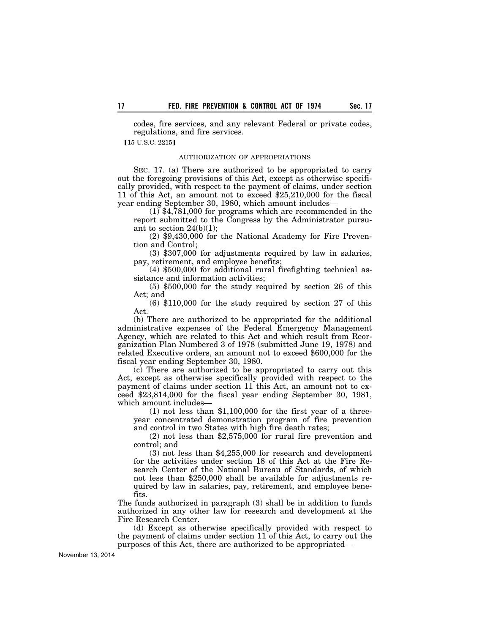codes, fire services, and any relevant Federal or private codes, regulations, and fire services.

 $[15 \text{ U.S.C. } 2215]$ 

# AUTHORIZATION OF APPROPRIATIONS

SEC. 17. (a) There are authorized to be appropriated to carry out the foregoing provisions of this Act, except as otherwise specifically provided, with respect to the payment of claims, under section 11 of this Act, an amount not to exceed \$25,210,000 for the fiscal year ending September 30, 1980, which amount includes—

(1) \$4,781,000 for programs which are recommended in the report submitted to the Congress by the Administrator pursuant to section  $24(b)(1)$ ;

(2) \$9,430,000 for the National Academy for Fire Prevention and Control;

(3) \$307,000 for adjustments required by law in salaries, pay, retirement, and employee benefits;

(4) \$500,000 for additional rural firefighting technical assistance and information activities;

(5) \$500,000 for the study required by section 26 of this Act; and

(6) \$110,000 for the study required by section 27 of this Act.

(b) There are authorized to be appropriated for the additional administrative expenses of the Federal Emergency Management Agency, which are related to this Act and which result from Reorganization Plan Numbered 3 of 1978 (submitted June 19, 1978) and related Executive orders, an amount not to exceed \$600,000 for the fiscal year ending September 30, 1980.

(c) There are authorized to be appropriated to carry out this Act, except as otherwise specifically provided with respect to the payment of claims under section 11 this Act, an amount not to exceed \$23,814,000 for the fiscal year ending September 30, 1981, which amount includes—

(1) not less than \$1,100,000 for the first year of a threeyear concentrated demonstration program of fire prevention and control in two States with high fire death rates;

(2) not less than \$2,575,000 for rural fire prevention and control; and

(3) not less than \$4,255,000 for research and development for the activities under section 18 of this Act at the Fire Research Center of the National Bureau of Standards, of which not less than \$250,000 shall be available for adjustments required by law in salaries, pay, retirement, and employee benefits.

The funds authorized in paragraph (3) shall be in addition to funds authorized in any other law for research and development at the Fire Research Center.

(d) Except as otherwise specifically provided with respect to the payment of claims under section 11 of this Act, to carry out the purposes of this Act, there are authorized to be appropriated—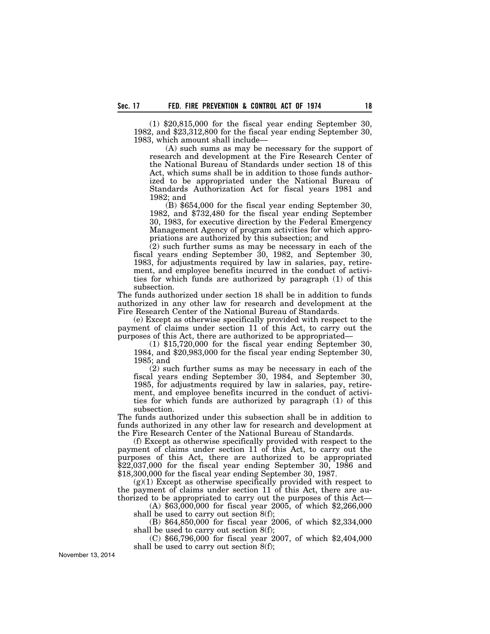(1) \$20,815,000 for the fiscal year ending September 30, 1982, and \$23,312,800 for the fiscal year ending September 30, 1983, which amount shall include—

(A) such sums as may be necessary for the support of research and development at the Fire Research Center of the National Bureau of Standards under section 18 of this Act, which sums shall be in addition to those funds authorized to be appropriated under the National Bureau of Standards Authorization Act for fiscal years 1981 and 1982; and

(B) \$654,000 for the fiscal year ending September 30, 1982, and \$732,480 for the fiscal year ending September 30, 1983, for executive direction by the Federal Emergency Management Agency of program activities for which appropriations are authorized by this subsection; and

(2) such further sums as may be necessary in each of the fiscal years ending September 30, 1982, and September 30, 1983, for adjustments required by law in salaries, pay, retirement, and employee benefits incurred in the conduct of activities for which funds are authorized by paragraph (1) of this subsection.

The funds authorized under section 18 shall be in addition to funds authorized in any other law for research and development at the Fire Research Center of the National Bureau of Standards.

(e) Except as otherwise specifically provided with respect to the payment of claims under section 11 of this Act, to carry out the purposes of this Act, there are authorized to be appropriated—

(1) \$15,720,000 for the fiscal year ending September 30, 1984, and \$20,983,000 for the fiscal year ending September 30, 1985; and

(2) such further sums as may be necessary in each of the fiscal years ending September 30, 1984, and September 30, 1985, for adjustments required by law in salaries, pay, retirement, and employee benefits incurred in the conduct of activities for which funds are authorized by paragraph (1) of this subsection.

The funds authorized under this subsection shall be in addition to funds authorized in any other law for research and development at the Fire Research Center of the National Bureau of Standards.

(f) Except as otherwise specifically provided with respect to the payment of claims under section 11 of this Act, to carry out the purposes of this Act, there are authorized to be appropriated \$22,037,000 for the fiscal year ending September 30, 1986 and \$18,300,000 for the fiscal year ending September 30, 1987.

 $(g)(1)$  Except as otherwise specifically provided with respect to the payment of claims under section 11 of this Act, there are authorized to be appropriated to carry out the purposes of this Act—

(A) \$63,000,000 for fiscal year 2005, of which \$2,266,000 shall be used to carry out section 8(f);

(B) \$64,850,000 for fiscal year 2006, of which \$2,334,000 shall be used to carry out section 8(f);

(C) \$66,796,000 for fiscal year 2007, of which \$2,404,000 shall be used to carry out section 8(f);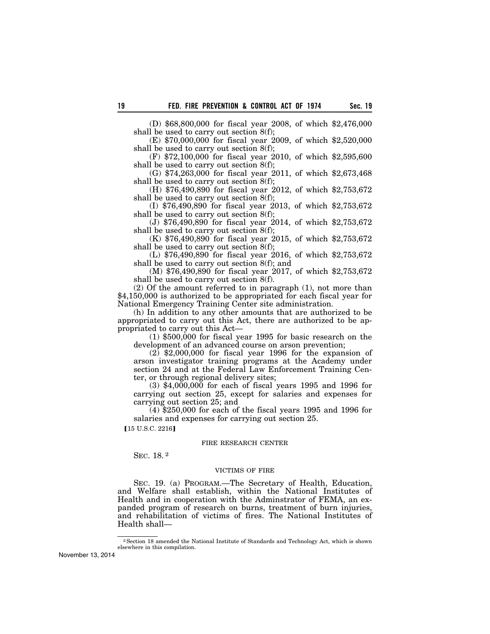(D) \$68,800,000 for fiscal year 2008, of which \$2,476,000 shall be used to carry out section 8(f);

(E) \$70,000,000 for fiscal year 2009, of which \$2,520,000 shall be used to carry out section 8(f);

(F) \$72,100,000 for fiscal year 2010, of which \$2,595,600 shall be used to carry out section 8(f);

(G) \$74,263,000 for fiscal year 2011, of which \$2,673,468 shall be used to carry out section 8(f);

(H) \$76,490,890 for fiscal year 2012, of which \$2,753,672 shall be used to carry out section 8(f);

(I) \$76,490,890 for fiscal year 2013, of which \$2,753,672 shall be used to carry out section 8(f);

(J) \$76,490,890 for fiscal year 2014, of which \$2,753,672 shall be used to carry out section 8(f);

(K) \$76,490,890 for fiscal year 2015, of which \$2,753,672 shall be used to carry out section 8(f);

(L) \$76,490,890 for fiscal year 2016, of which \$2,753,672 shall be used to carry out section 8(f); and

(M) \$76,490,890 for fiscal year 2017, of which \$2,753,672 shall be used to carry out section 8(f).

(2) Of the amount referred to in paragraph (1), not more than \$4,150,000 is authorized to be appropriated for each fiscal year for National Emergency Training Center site administration.

(h) In addition to any other amounts that are authorized to be appropriated to carry out this Act, there are authorized to be appropriated to carry out this Act—

(1) \$500,000 for fiscal year 1995 for basic research on the development of an advanced course on arson prevention;

(2) \$2,000,000 for fiscal year 1996 for the expansion of arson investigator training programs at the Academy under section 24 and at the Federal Law Enforcement Training Center, or through regional delivery sites;

(3) \$4,000,000 for each of fiscal years 1995 and 1996 for carrying out section 25, except for salaries and expenses for carrying out section 25; and

(4) \$250,000 for each of the fiscal years 1995 and 1996 for salaries and expenses for carrying out section 25.

[15 U.S.C. 2216]

#### FIRE RESEARCH CENTER

SEC. 18. 2

# VICTIMS OF FIRE

SEC. 19. (a) PROGRAM.—The Secretary of Health, Education, and Welfare shall establish, within the National Institutes of Health and in cooperation with the Adminstrator of FEMA, an expanded program of research on burns, treatment of burn injuries, and rehabilitation of victims of fires. The National Institutes of Health shall—

<sup>2</sup>Section 18 amended the National Institute of Standards and Technology Act, which is shown elsewhere in this compilation.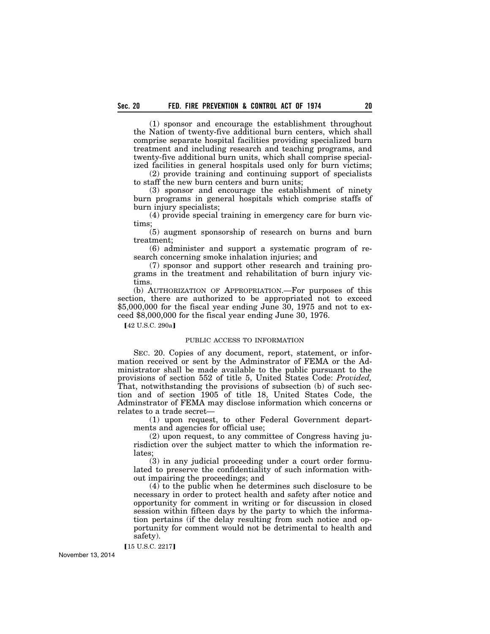(1) sponsor and encourage the establishment throughout the Nation of twenty-five additional burn centers, which shall comprise separate hospital facilities providing specialized burn treatment and including research and teaching programs, and twenty-five additional burn units, which shall comprise specialized facilities in general hospitals used only for burn victims;

(2) provide training and continuing support of specialists to staff the new burn centers and burn units;

(3) sponsor and encourage the establishment of ninety burn programs in general hospitals which comprise staffs of burn injury specialists;

(4) provide special training in emergency care for burn victims;

(5) augment sponsorship of research on burns and burn treatment;

(6) administer and support a systematic program of research concerning smoke inhalation injuries; and

(7) sponsor and support other research and training programs in the treatment and rehabilitation of burn injury victims.

(b) AUTHORIZATION OF APPROPRIATION.—For purposes of this section, there are authorized to be appropriated not to exceed \$5,000,000 for the fiscal year ending June 30, 1975 and not to exceed \$8,000,000 for the fiscal year ending June 30, 1976.

[42 U.S.C. 290a]

# PUBLIC ACCESS TO INFORMATION

SEC. 20. Copies of any document, report, statement, or information received or sent by the Adminstrator of FEMA or the Administrator shall be made available to the public pursuant to the provisions of section 552 of title 5, United States Code: *Provided,*  That, notwithstanding the provisions of subsection (b) of such section and of section 1905 of title 18, United States Code, the Adminstrator of FEMA may disclose information which concerns or relates to a trade secret—

(1) upon request, to other Federal Government departments and agencies for official use;

(2) upon request, to any committee of Congress having jurisdiction over the subject matter to which the information relates;

(3) in any judicial proceeding under a court order formulated to preserve the confidentiality of such information without impairing the proceedings; and

(4) to the public when he determines such disclosure to be necessary in order to protect health and safety after notice and opportunity for comment in writing or for discussion in closed session within fifteen days by the party to which the information pertains (if the delay resulting from such notice and opportunity for comment would not be detrimental to health and safety).

[15 U.S.C. 2217]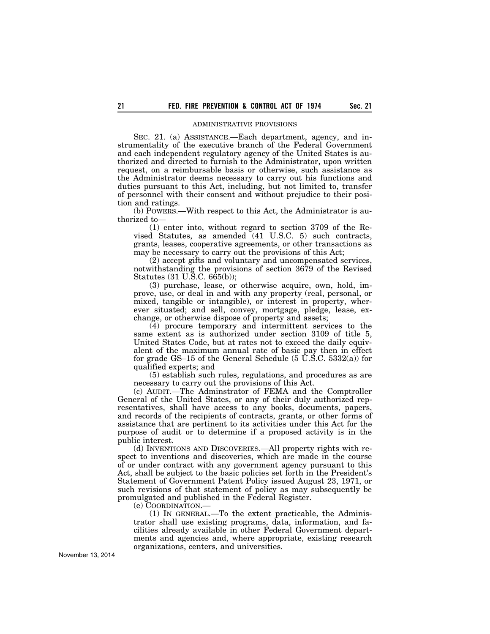# ADMINISTRATIVE PROVISIONS

SEC. 21. (a) ASSISTANCE.—Each department, agency, and instrumentality of the executive branch of the Federal Government and each independent regulatory agency of the United States is authorized and directed to furnish to the Administrator, upon written request, on a reimbursable basis or otherwise, such assistance as the Administrator deems necessary to carry out his functions and duties pursuant to this Act, including, but not limited to, transfer of personnel with their consent and without prejudice to their position and ratings.

(b) POWERS.—With respect to this Act, the Administrator is authorized to—

(1) enter into, without regard to section 3709 of the Revised Statutes, as amended  $(41 \text{ U.S.C. } 5)$  such contracts, grants, leases, cooperative agreements, or other transactions as may be necessary to carry out the provisions of this Act;

(2) accept gifts and voluntary and uncompensated services, notwithstanding the provisions of section 3679 of the Revised Statutes (31 U.S.C. 665(b));

(3) purchase, lease, or otherwise acquire, own, hold, improve, use, or deal in and with any property (real, personal, or mixed, tangible or intangible), or interest in property, wherever situated; and sell, convey, mortgage, pledge, lease, exchange, or otherwise dispose of property and assets;

(4) procure temporary and intermittent services to the same extent as is authorized under section 3109 of title 5, United States Code, but at rates not to exceed the daily equivalent of the maximum annual rate of basic pay then in effect for grade GS–15 of the General Schedule (5 U.S.C. 5332(a)) for qualified experts; and

(5) establish such rules, regulations, and procedures as are necessary to carry out the provisions of this Act.

(c) AUDIT.—The Adminstrator of FEMA and the Comptroller General of the United States, or any of their duly authorized representatives, shall have access to any books, documents, papers, and records of the recipients of contracts, grants, or other forms of assistance that are pertinent to its activities under this Act for the purpose of audit or to determine if a proposed activity is in the public interest.

(d) INVENTIONS AND DISCOVERIES.—All property rights with respect to inventions and discoveries, which are made in the course of or under contract with any government agency pursuant to this Act, shall be subject to the basic policies set forth in the President's Statement of Government Patent Policy issued August 23, 1971, or such revisions of that statement of policy as may subsequently be promulgated and published in the Federal Register.

(e) COORDINATION.—

(1) IN GENERAL.—To the extent practicable, the Administrator shall use existing programs, data, information, and facilities already available in other Federal Government departments and agencies and, where appropriate, existing research organizations, centers, and universities.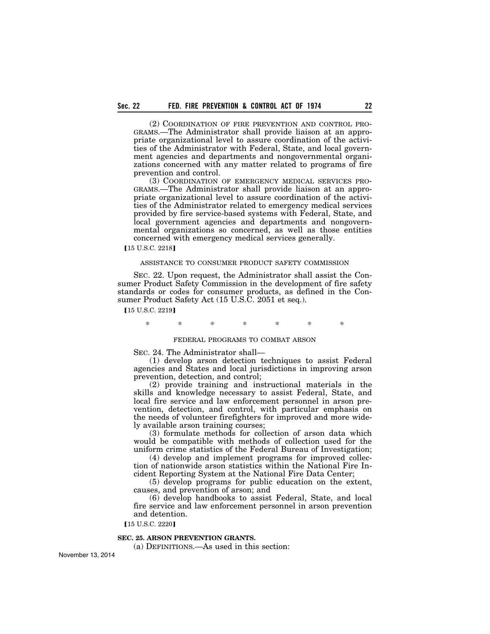(2) COORDINATION OF FIRE PREVENTION AND CONTROL PRO-GRAMS.—The Administrator shall provide liaison at an appropriate organizational level to assure coordination of the activities of the Administrator with Federal, State, and local government agencies and departments and nongovernmental organizations concerned with any matter related to programs of fire prevention and control.

(3) COORDINATION OF EMERGENCY MEDICAL SERVICES PRO-GRAMS.—The Administrator shall provide liaison at an appropriate organizational level to assure coordination of the activities of the Administrator related to emergency medical services provided by fire service-based systems with Federal, State, and local government agencies and departments and nongovernmental organizations so concerned, as well as those entities concerned with emergency medical services generally.

**[15 U.S.C. 2218]** 

# ASSISTANCE TO CONSUMER PRODUCT SAFETY COMMISSION

SEC. 22. Upon request, the Administrator shall assist the Consumer Product Safety Commission in the development of fire safety standards or codes for consumer products, as defined in the Consumer Product Safety Act (15 U.S.C. 2051 et seq.).

**[15 U.S.C. 2219]** 

\* \* \* \* \* \* \*

# FEDERAL PROGRAMS TO COMBAT ARSON

SEC. 24. The Administrator shall—

(1) develop arson detection techniques to assist Federal agencies and States and local jurisdictions in improving arson prevention, detection, and control;

(2) provide training and instructional materials in the skills and knowledge necessary to assist Federal, State, and local fire service and law enforcement personnel in arson prevention, detection, and control, with particular emphasis on the needs of volunteer firefighters for improved and more widely available arson training courses;

(3) formulate methods for collection of arson data which would be compatible with methods of collection used for the uniform crime statistics of the Federal Bureau of Investigation;

(4) develop and implement programs for improved collection of nationwide arson statistics within the National Fire Incident Reporting System at the National Fire Data Center;

(5) develop programs for public education on the extent, causes, and prevention of arson; and

(6) develop handbooks to assist Federal, State, and local fire service and law enforcement personnel in arson prevention and detention.

[15 U.S.C. 2220]

# **SEC. 25. ARSON PREVENTION GRANTS.**

(a) DEFINITIONS.—As used in this section: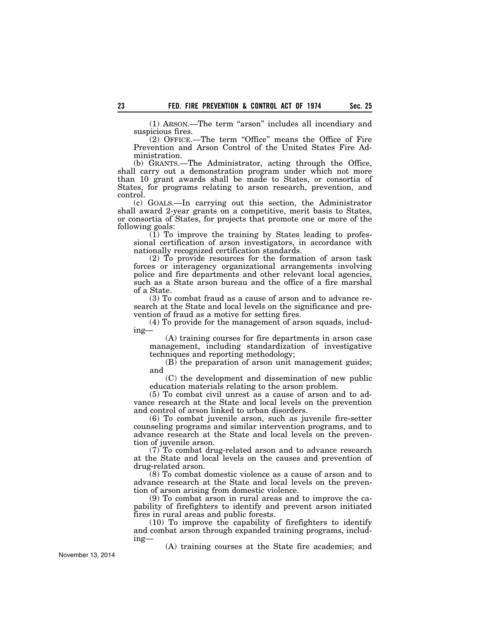(1) ARSON.—The term ''arson'' includes all incendiary and suspicious fires.

(2) OFFICE.—The term ''Office'' means the Office of Fire Prevention and Arson Control of the United States Fire Administration.

(b) GRANTS.—The Administrator, acting through the Office, shall carry out a demonstration program under which not more than 10 grant awards shall be made to States, or consortia of States, for programs relating to arson research, prevention, and control.

(c) GOALS.—In carrying out this section, the Administrator shall award 2-year grants on a competitive, merit basis to States, or consortia of States, for projects that promote one or more of the following goals:

 $(1)$  To improve the training by States leading to professional certification of arson investigators, in accordance with nationally recognized certification standards.

(2) To provide resources for the formation of arson task forces or interagency organizational arrangements involving police and fire departments and other relevant local agencies, such as a State arson bureau and the office of a fire marshal of a State.

(3) To combat fraud as a cause of arson and to advance research at the State and local levels on the significance and prevention of fraud as a motive for setting fires.

(4) To provide for the management of arson squads, including—

(A) training courses for fire departments in arson case management, including standardization of investigative techniques and reporting methodology;

 $(B)$  the preparation of arson unit management guides; and

(C) the development and dissemination of new public education materials relating to the arson problem.

(5) To combat civil unrest as a cause of arson and to advance research at the State and local levels on the prevention and control of arson linked to urban disorders.

(6) To combat juvenile arson, such as juvenile fire-setter counseling programs and similar intervention programs, and to advance research at the State and local levels on the prevention of juvenile arson.

(7) To combat drug-related arson and to advance research at the State and local levels on the causes and prevention of drug-related arson.

(8) To combat domestic violence as a cause of arson and to advance research at the State and local levels on the prevention of arson arising from domestic violence.

(9) To combat arson in rural areas and to improve the capability of firefighters to identify and prevent arson initiated fires in rural areas and public forests.

(10) To improve the capability of firefighters to identify and combat arson through expanded training programs, including—

(A) training courses at the State fire academies; and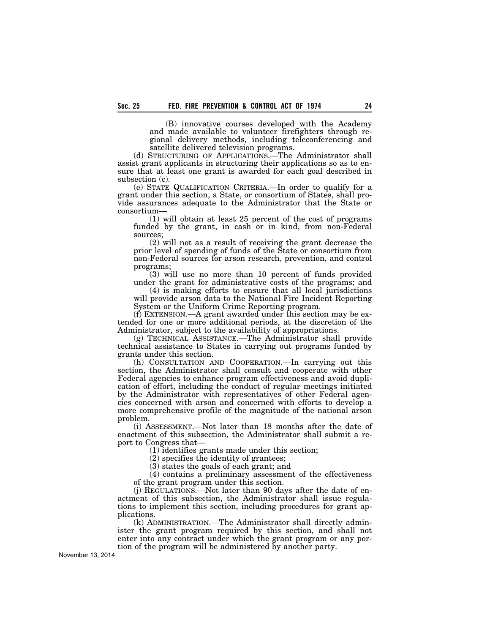(B) innovative courses developed with the Academy and made available to volunteer firefighters through regional delivery methods, including teleconferencing and satellite delivered television programs.

(d) STRUCTURING OF APPLICATIONS.—The Administrator shall assist grant applicants in structuring their applications so as to ensure that at least one grant is awarded for each goal described in subsection (c).

(e) STATE QUALIFICATION CRITERIA.—In order to qualify for a grant under this section, a State, or consortium of States, shall provide assurances adequate to the Administrator that the State or consortium—

(1) will obtain at least 25 percent of the cost of programs funded by the grant, in cash or in kind, from non-Federal sources;

(2) will not as a result of receiving the grant decrease the prior level of spending of funds of the State or consortium from non-Federal sources for arson research, prevention, and control programs;

(3) will use no more than 10 percent of funds provided under the grant for administrative costs of the programs; and

(4) is making efforts to ensure that all local jurisdictions will provide arson data to the National Fire Incident Reporting System or the Uniform Crime Reporting program.

(f) EXTENSION.—A grant awarded under this section may be extended for one or more additional periods, at the discretion of the Administrator, subject to the availability of appropriations.

(g) TECHNICAL ASSISTANCE.—The Administrator shall provide technical assistance to States in carrying out programs funded by grants under this section.

(h) CONSULTATION AND COOPERATION.—In carrying out this section, the Administrator shall consult and cooperate with other Federal agencies to enhance program effectiveness and avoid duplication of effort, including the conduct of regular meetings initiated by the Administrator with representatives of other Federal agencies concerned with arson and concerned with efforts to develop a more comprehensive profile of the magnitude of the national arson problem.

(i) ASSESSMENT.—Not later than 18 months after the date of enactment of this subsection, the Administrator shall submit a report to Congress that—

(1) identifies grants made under this section;

(2) specifies the identity of grantees;

(3) states the goals of each grant; and

(4) contains a preliminary assessment of the effectiveness of the grant program under this section.

(j) REGULATIONS.—Not later than 90 days after the date of enactment of this subsection, the Administrator shall issue regulations to implement this section, including procedures for grant applications.

(k) ADMINISTRATION.—The Administrator shall directly administer the grant program required by this section, and shall not enter into any contract under which the grant program or any portion of the program will be administered by another party.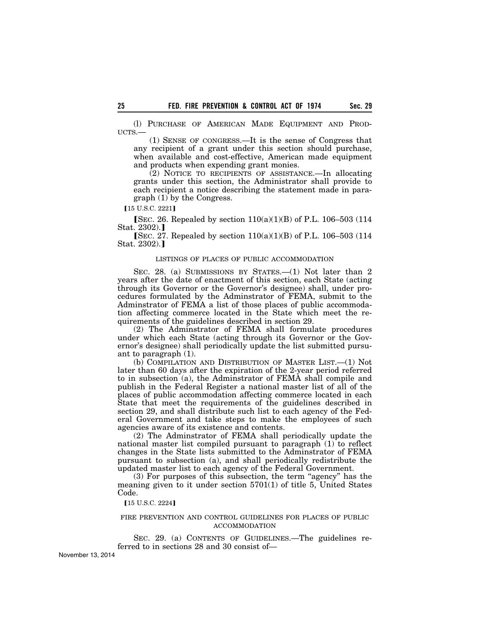(l) PURCHASE OF AMERICAN MADE EQUIPMENT AND PROD-UCTS.—

(1) SENSE OF CONGRESS.—It is the sense of Congress that any recipient of a grant under this section should purchase, when available and cost-effective, American made equipment and products when expending grant monies.

(2) NOTICE TO RECIPIENTS OF ASSISTANCE.—In allocating grants under this section, the Administrator shall provide to each recipient a notice describing the statement made in paragraph (1) by the Congress.

[15 U.S.C. 2221]

[SEC. 26. Repealed by section  $110(a)(1)(B)$  of P.L. 106–503 (114) Stat.  $2302$ .

**[SEC. 27. Repealed by section 110(a)(1)(B) of P.L. 106–503 (114** Stat.  $2302$ .]

# LISTINGS OF PLACES OF PUBLIC ACCOMMODATION

SEC. 28. (a) SUBMISSIONS BY STATES.—(1) Not later than 2 years after the date of enactment of this section, each State (acting through its Governor or the Governor's designee) shall, under procedures formulated by the Adminstrator of FEMA, submit to the Adminstrator of FEMA a list of those places of public accommodation affecting commerce located in the State which meet the requirements of the guidelines described in section 29.

(2) The Adminstrator of FEMA shall formulate procedures under which each State (acting through its Governor or the Governor's designee) shall periodically update the list submitted pursuant to paragraph (1).

(b) COMPILATION AND DISTRIBUTION OF MASTER LIST.—(1) Not later than 60 days after the expiration of the 2-year period referred to in subsection (a), the Adminstrator of FEMA shall compile and publish in the Federal Register a national master list of all of the places of public accommodation affecting commerce located in each State that meet the requirements of the guidelines described in section 29, and shall distribute such list to each agency of the Federal Government and take steps to make the employees of such agencies aware of its existence and contents.

(2) The Adminstrator of FEMA shall periodically update the national master list compiled pursuant to paragraph (1) to reflect changes in the State lists submitted to the Adminstrator of FEMA pursuant to subsection (a), and shall periodically redistribute the updated master list to each agency of the Federal Government.

(3) For purposes of this subsection, the term ''agency'' has the meaning given to it under section 5701(1) of title 5, United States Code.

[15 U.S.C. 2224]

### FIRE PREVENTION AND CONTROL GUIDELINES FOR PLACES OF PUBLIC ACCOMMODATION

SEC. 29. (a) CONTENTS OF GUIDELINES.—The guidelines referred to in sections 28 and 30 consist of—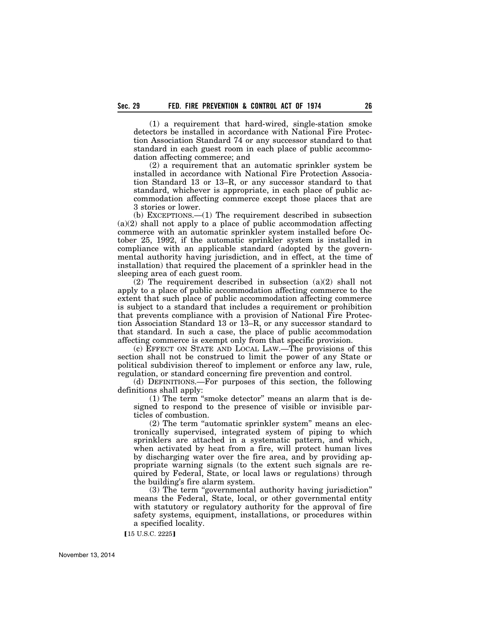(1) a requirement that hard-wired, single-station smoke detectors be installed in accordance with National Fire Protection Association Standard 74 or any successor standard to that standard in each guest room in each place of public accommodation affecting commerce; and

(2) a requirement that an automatic sprinkler system be installed in accordance with National Fire Protection Association Standard 13 or 13–R, or any successor standard to that standard, whichever is appropriate, in each place of public accommodation affecting commerce except those places that are 3 stories or lower.

(b) EXCEPTIONS.—(1) The requirement described in subsection  $(a)(2)$  shall not apply to a place of public accommodation affecting commerce with an automatic sprinkler system installed before October 25, 1992, if the automatic sprinkler system is installed in compliance with an applicable standard (adopted by the governmental authority having jurisdiction, and in effect, at the time of installation) that required the placement of a sprinkler head in the sleeping area of each guest room.

 $(2)$  The requirement described in subsection  $(a)(2)$  shall not apply to a place of public accommodation affecting commerce to the extent that such place of public accommodation affecting commerce is subject to a standard that includes a requirement or prohibition that prevents compliance with a provision of National Fire Protection Association Standard 13 or 13–R, or any successor standard to that standard. In such a case, the place of public accommodation affecting commerce is exempt only from that specific provision.

(c) EFFECT ON STATE AND LOCAL LAW.—The provisions of this section shall not be construed to limit the power of any State or political subdivision thereof to implement or enforce any law, rule, regulation, or standard concerning fire prevention and control.

(d) DEFINITIONS.—For purposes of this section, the following definitions shall apply:

(1) The term ''smoke detector'' means an alarm that is designed to respond to the presence of visible or invisible particles of combustion.

 $(2)$  The term "automatic sprinkler system" means an electronically supervised, integrated system of piping to which sprinklers are attached in a systematic pattern, and which, when activated by heat from a fire, will protect human lives by discharging water over the fire area, and by providing appropriate warning signals (to the extent such signals are required by Federal, State, or local laws or regulations) through the building's fire alarm system.

(3) The term ''governmental authority having jurisdiction'' means the Federal, State, local, or other governmental entity with statutory or regulatory authority for the approval of fire safety systems, equipment, installations, or procedures within a specified locality.

[15 U.S.C. 2225]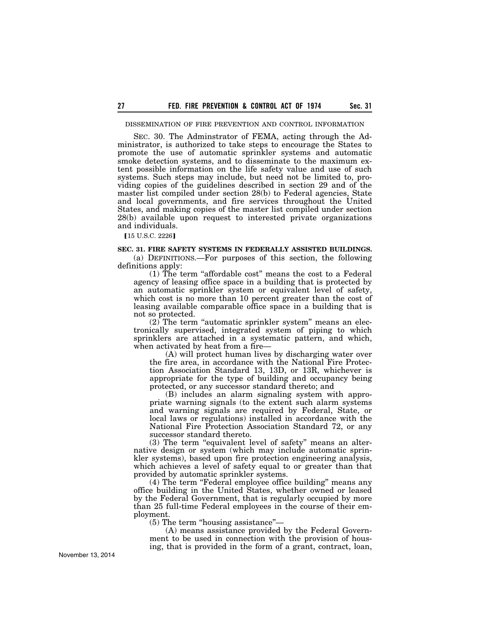### DISSEMINATION OF FIRE PREVENTION AND CONTROL INFORMATION

SEC. 30. The Adminstrator of FEMA, acting through the Administrator, is authorized to take steps to encourage the States to promote the use of automatic sprinkler systems and automatic smoke detection systems, and to disseminate to the maximum extent possible information on the life safety value and use of such systems. Such steps may include, but need not be limited to, providing copies of the guidelines described in section 29 and of the master list compiled under section 28(b) to Federal agencies, State and local governments, and fire services throughout the United States, and making copies of the master list compiled under section 28(b) available upon request to interested private organizations and individuals.

**[15 U.S.C. 2226]** 

### **SEC. 31. FIRE SAFETY SYSTEMS IN FEDERALLY ASSISTED BUILDINGS.**

(a) DEFINITIONS.—For purposes of this section, the following definitions apply:

(1) The term ''affordable cost'' means the cost to a Federal agency of leasing office space in a building that is protected by an automatic sprinkler system or equivalent level of safety, which cost is no more than 10 percent greater than the cost of leasing available comparable office space in a building that is not so protected.

 $(2)$  The term "automatic sprinkler system" means an electronically supervised, integrated system of piping to which sprinklers are attached in a systematic pattern, and which, when activated by heat from a fire—

(A) will protect human lives by discharging water over the fire area, in accordance with the National Fire Protection Association Standard 13, 13D, or 13R, whichever is appropriate for the type of building and occupancy being protected, or any successor standard thereto; and

(B) includes an alarm signaling system with appropriate warning signals (to the extent such alarm systems and warning signals are required by Federal, State, or local laws or regulations) installed in accordance with the National Fire Protection Association Standard 72, or any successor standard thereto.

(3) The term "equivalent level of safety" means an alternative design or system (which may include automatic sprinkler systems), based upon fire protection engineering analysis, which achieves a level of safety equal to or greater than that provided by automatic sprinkler systems.

(4) The term ''Federal employee office building'' means any office building in the United States, whether owned or leased by the Federal Government, that is regularly occupied by more than 25 full-time Federal employees in the course of their employment.

(5) The term ''housing assistance''—

(A) means assistance provided by the Federal Government to be used in connection with the provision of housing, that is provided in the form of a grant, contract, loan,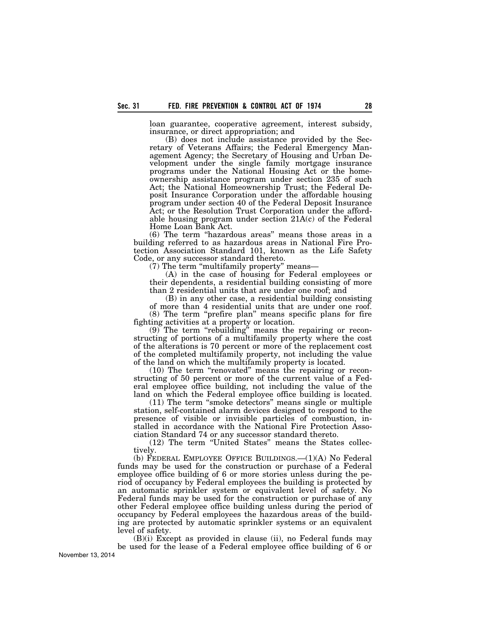loan guarantee, cooperative agreement, interest subsidy, insurance, or direct appropriation; and

(B) does not include assistance provided by the Secretary of Veterans Affairs; the Federal Emergency Management Agency; the Secretary of Housing and Urban Development under the single family mortgage insurance programs under the National Housing Act or the homeownership assistance program under section 235 of such Act; the National Homeownership Trust; the Federal Deposit Insurance Corporation under the affordable housing program under section 40 of the Federal Deposit Insurance Act; or the Resolution Trust Corporation under the affordable housing program under section 21A(c) of the Federal Home Loan Bank Act.

(6) The term ''hazardous areas'' means those areas in a building referred to as hazardous areas in National Fire Protection Association Standard 101, known as the Life Safety Code, or any successor standard thereto.

(7) The term ''multifamily property'' means—

(A) in the case of housing for Federal employees or their dependents, a residential building consisting of more than 2 residential units that are under one roof; and

(B) in any other case, a residential building consisting of more than 4 residential units that are under one roof. (8) The term ''prefire plan'' means specific plans for fire fighting activities at a property or location.

 $(9)$  The term "rebuilding" means the repairing or reconstructing of portions of a multifamily property where the cost of the alterations is 70 percent or more of the replacement cost of the completed multifamily property, not including the value of the land on which the multifamily property is located.

(10) The term ''renovated'' means the repairing or reconstructing of 50 percent or more of the current value of a Federal employee office building, not including the value of the land on which the Federal employee office building is located.

(11) The term ''smoke detectors'' means single or multiple station, self-contained alarm devices designed to respond to the presence of visible or invisible particles of combustion, installed in accordance with the National Fire Protection Association Standard 74 or any successor standard thereto.

(12) The term ''United States'' means the States collectively.

(b) FEDERAL EMPLOYEE OFFICE BUILDINGS.—(1)(A) No Federal funds may be used for the construction or purchase of a Federal employee office building of 6 or more stories unless during the period of occupancy by Federal employees the building is protected by an automatic sprinkler system or equivalent level of safety. No Federal funds may be used for the construction or purchase of any other Federal employee office building unless during the period of occupancy by Federal employees the hazardous areas of the building are protected by automatic sprinkler systems or an equivalent level of safety.

(B)(i) Except as provided in clause (ii), no Federal funds may be used for the lease of a Federal employee office building of 6 or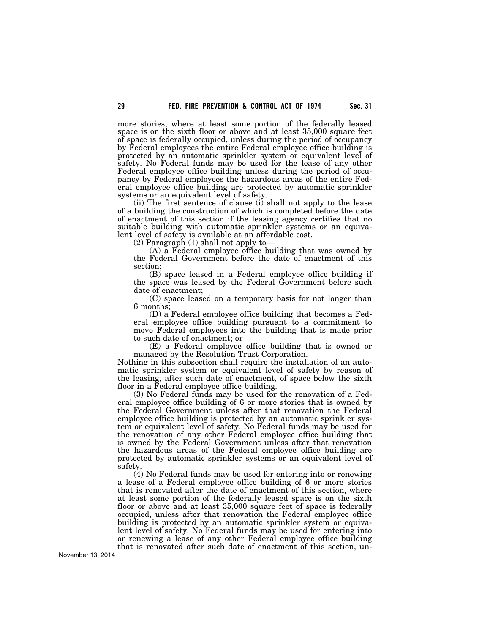more stories, where at least some portion of the federally leased space is on the sixth floor or above and at least 35,000 square feet of space is federally occupied, unless during the period of occupancy by Federal employees the entire Federal employee office building is protected by an automatic sprinkler system or equivalent level of safety. No Federal funds may be used for the lease of any other Federal employee office building unless during the period of occupancy by Federal employees the hazardous areas of the entire Federal employee office building are protected by automatic sprinkler systems or an equivalent level of safety.

(ii) The first sentence of clause (i) shall not apply to the lease of a building the construction of which is completed before the date of enactment of this section if the leasing agency certifies that no suitable building with automatic sprinkler systems or an equivalent level of safety is available at an affordable cost.

(2) Paragraph (1) shall not apply to—

(A) a Federal employee office building that was owned by the Federal Government before the date of enactment of this section;

(B) space leased in a Federal employee office building if the space was leased by the Federal Government before such date of enactment;

(C) space leased on a temporary basis for not longer than 6 months;

(D) a Federal employee office building that becomes a Federal employee office building pursuant to a commitment to move Federal employees into the building that is made prior to such date of enactment; or

(E) a Federal employee office building that is owned or managed by the Resolution Trust Corporation.

Nothing in this subsection shall require the installation of an automatic sprinkler system or equivalent level of safety by reason of the leasing, after such date of enactment, of space below the sixth floor in a Federal employee office building.

(3) No Federal funds may be used for the renovation of a Federal employee office building of 6 or more stories that is owned by the Federal Government unless after that renovation the Federal employee office building is protected by an automatic sprinkler system or equivalent level of safety. No Federal funds may be used for the renovation of any other Federal employee office building that is owned by the Federal Government unless after that renovation the hazardous areas of the Federal employee office building are protected by automatic sprinkler systems or an equivalent level of safety.

(4) No Federal funds may be used for entering into or renewing a lease of a Federal employee office building of 6 or more stories that is renovated after the date of enactment of this section, where at least some portion of the federally leased space is on the sixth floor or above and at least 35,000 square feet of space is federally occupied, unless after that renovation the Federal employee office building is protected by an automatic sprinkler system or equivalent level of safety. No Federal funds may be used for entering into or renewing a lease of any other Federal employee office building that is renovated after such date of enactment of this section, un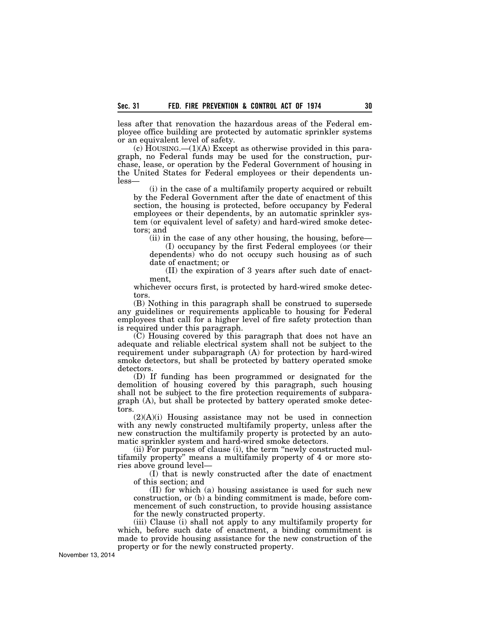less after that renovation the hazardous areas of the Federal employee office building are protected by automatic sprinkler systems or an equivalent level of safety.

 $(c)$  HOUSING.— $(1)(A)$  Except as otherwise provided in this paragraph, no Federal funds may be used for the construction, purchase, lease, or operation by the Federal Government of housing in the United States for Federal employees or their dependents unless—

(i) in the case of a multifamily property acquired or rebuilt by the Federal Government after the date of enactment of this section, the housing is protected, before occupancy by Federal employees or their dependents, by an automatic sprinkler system (or equivalent level of safety) and hard-wired smoke detectors; and

(ii) in the case of any other housing, the housing, before—

(I) occupancy by the first Federal employees (or their dependents) who do not occupy such housing as of such date of enactment; or

(II) the expiration of 3 years after such date of enactment,

whichever occurs first, is protected by hard-wired smoke detectors.

(B) Nothing in this paragraph shall be construed to supersede any guidelines or requirements applicable to housing for Federal employees that call for a higher level of fire safety protection than is required under this paragraph.

(C) Housing covered by this paragraph that does not have an adequate and reliable electrical system shall not be subject to the requirement under subparagraph (A) for protection by hard-wired smoke detectors, but shall be protected by battery operated smoke detectors.

(D) If funding has been programmed or designated for the demolition of housing covered by this paragraph, such housing shall not be subject to the fire protection requirements of subparagraph (A), but shall be protected by battery operated smoke detectors.

 $(2)(A)(i)$  Housing assistance may not be used in connection with any newly constructed multifamily property, unless after the new construction the multifamily property is protected by an automatic sprinkler system and hard-wired smoke detectors.

(ii) For purposes of clause (i), the term ''newly constructed multifamily property'' means a multifamily property of 4 or more stories above ground level—

(I) that is newly constructed after the date of enactment of this section; and

(II) for which (a) housing assistance is used for such new construction, or (b) a binding commitment is made, before commencement of such construction, to provide housing assistance for the newly constructed property.

(iii) Clause (i) shall not apply to any multifamily property for which, before such date of enactment, a binding commitment is made to provide housing assistance for the new construction of the property or for the newly constructed property.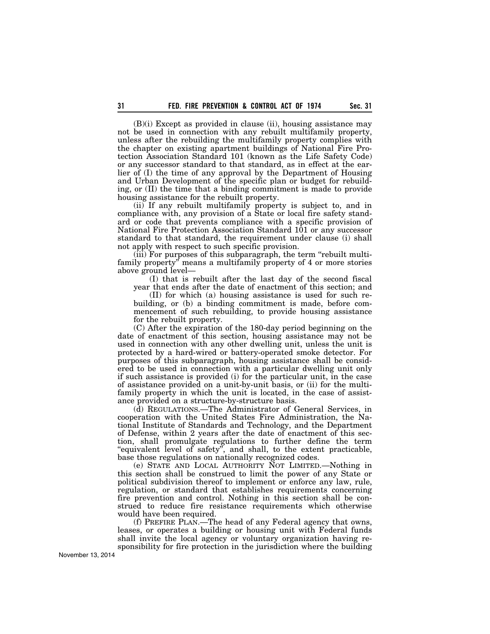(B)(i) Except as provided in clause (ii), housing assistance may not be used in connection with any rebuilt multifamily property, unless after the rebuilding the multifamily property complies with the chapter on existing apartment buildings of National Fire Protection Association Standard 101 (known as the Life Safety Code) or any successor standard to that standard, as in effect at the earlier of (I) the time of any approval by the Department of Housing and Urban Development of the specific plan or budget for rebuilding, or (II) the time that a binding commitment is made to provide housing assistance for the rebuilt property.

(ii) If any rebuilt multifamily property is subject to, and in compliance with, any provision of a State or local fire safety standard or code that prevents compliance with a specific provision of National Fire Protection Association Standard 101 or any successor standard to that standard, the requirement under clause (i) shall not apply with respect to such specific provision.

(iii) For purposes of this subparagraph, the term ''rebuilt multifamily property'' means a multifamily property of 4 or more stories above ground level—

(I) that is rebuilt after the last day of the second fiscal year that ends after the date of enactment of this section; and

(II) for which (a) housing assistance is used for such rebuilding, or (b) a binding commitment is made, before commencement of such rebuilding, to provide housing assistance for the rebuilt property.

(C) After the expiration of the 180-day period beginning on the date of enactment of this section, housing assistance may not be used in connection with any other dwelling unit, unless the unit is protected by a hard-wired or battery-operated smoke detector. For purposes of this subparagraph, housing assistance shall be considered to be used in connection with a particular dwelling unit only if such assistance is provided (i) for the particular unit, in the case of assistance provided on a unit-by-unit basis, or (ii) for the multifamily property in which the unit is located, in the case of assistance provided on a structure-by-structure basis.

(d) REGULATIONS.—The Administrator of General Services, in cooperation with the United States Fire Administration, the National Institute of Standards and Technology, and the Department of Defense, within 2 years after the date of enactment of this section, shall promulgate regulations to further define the term "equivalent level of safety", and shall, to the extent practicable, base those regulations on nationally recognized codes.

(e) STATE AND LOCAL AUTHORITY NOT LIMITED.—Nothing in this section shall be construed to limit the power of any State or political subdivision thereof to implement or enforce any law, rule, regulation, or standard that establishes requirements concerning fire prevention and control. Nothing in this section shall be construed to reduce fire resistance requirements which otherwise would have been required.

(f) PREFIRE PLAN.—The head of any Federal agency that owns, leases, or operates a building or housing unit with Federal funds shall invite the local agency or voluntary organization having responsibility for fire protection in the jurisdiction where the building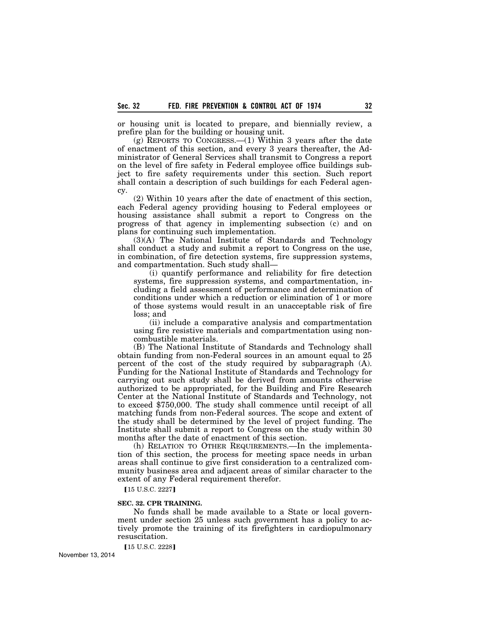or housing unit is located to prepare, and biennially review, a prefire plan for the building or housing unit.

(g) REPORTS TO CONGRESS.—(1) Within 3 years after the date of enactment of this section, and every 3 years thereafter, the Administrator of General Services shall transmit to Congress a report on the level of fire safety in Federal employee office buildings subject to fire safety requirements under this section. Such report shall contain a description of such buildings for each Federal agency.

(2) Within 10 years after the date of enactment of this section, each Federal agency providing housing to Federal employees or housing assistance shall submit a report to Congress on the progress of that agency in implementing subsection (c) and on plans for continuing such implementation.

(3)(A) The National Institute of Standards and Technology shall conduct a study and submit a report to Congress on the use, in combination, of fire detection systems, fire suppression systems, and compartmentation. Such study shall—

(i) quantify performance and reliability for fire detection systems, fire suppression systems, and compartmentation, including a field assessment of performance and determination of conditions under which a reduction or elimination of 1 or more of those systems would result in an unacceptable risk of fire loss; and

(ii) include a comparative analysis and compartmentation using fire resistive materials and compartmentation using noncombustible materials.

(B) The National Institute of Standards and Technology shall obtain funding from non-Federal sources in an amount equal to 25 percent of the cost of the study required by subparagraph (A). Funding for the National Institute of Standards and Technology for carrying out such study shall be derived from amounts otherwise authorized to be appropriated, for the Building and Fire Research Center at the National Institute of Standards and Technology, not to exceed \$750,000. The study shall commence until receipt of all matching funds from non-Federal sources. The scope and extent of the study shall be determined by the level of project funding. The Institute shall submit a report to Congress on the study within 30 months after the date of enactment of this section.

(h) RELATION TO OTHER REQUIREMENTS.—In the implementation of this section, the process for meeting space needs in urban areas shall continue to give first consideration to a centralized community business area and adjacent areas of similar character to the extent of any Federal requirement therefor.

[15 U.S.C. 2227]

### **SEC. 32. CPR TRAINING.**

No funds shall be made available to a State or local government under section 25 unless such government has a policy to actively promote the training of its firefighters in cardiopulmonary resuscitation.

[15 U.S.C. 2228]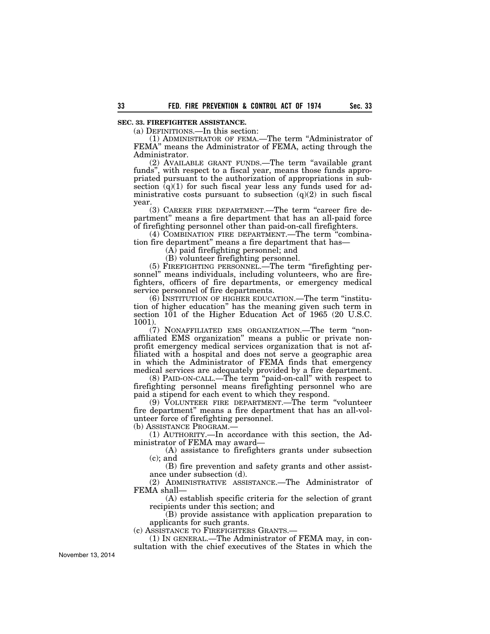# **SEC. 33. FIREFIGHTER ASSISTANCE.**

(a) DEFINITIONS.—In this section:

(1) ADMINISTRATOR OF FEMA.—The term ''Administrator of FEMA'' means the Administrator of FEMA, acting through the Administrator.

(2) AVAILABLE GRANT FUNDS.—The term ''available grant funds'', with respect to a fiscal year, means those funds appropriated pursuant to the authorization of appropriations in subsection  $\bar{q}(q)(1)$  for such fiscal year less any funds used for administrative costs pursuant to subsection  $(q)(2)$  in such fiscal year.

(3) CAREER FIRE DEPARTMENT.—The term ''career fire department'' means a fire department that has an all-paid force of firefighting personnel other than paid-on-call firefighters.

(4) COMBINATION FIRE DEPARTMENT.—The term ''combination fire department'' means a fire department that has—

(A) paid firefighting personnel; and

(B) volunteer firefighting personnel.

(5) FIREFIGHTING PERSONNEL.—The term ''firefighting personnel'' means individuals, including volunteers, who are firefighters, officers of fire departments, or emergency medical service personnel of fire departments.

(6) INSTITUTION OF HIGHER EDUCATION.—The term ''institution of higher education'' has the meaning given such term in section 101 of the Higher Education Act of 1965 (20 U.S.C. 1001).

(7) NONAFFILIATED EMS ORGANIZATION.—The term ''nonaffiliated EMS organization'' means a public or private nonprofit emergency medical services organization that is not affiliated with a hospital and does not serve a geographic area in which the Administrator of FEMA finds that emergency medical services are adequately provided by a fire department.

(8) PAID-ON-CALL.—The term ''paid-on-call'' with respect to firefighting personnel means firefighting personnel who are paid a stipend for each event to which they respond.

(9) VOLUNTEER FIRE DEPARTMENT.—The term "volunteer fire department'' means a fire department that has an all-volunteer force of firefighting personnel.

(b) ASSISTANCE PROGRAM.—

(1) AUTHORITY.—In accordance with this section, the Administrator of FEMA may award—

(A) assistance to firefighters grants under subsection  $(c)$ ; and

(B) fire prevention and safety grants and other assistance under subsection (d).

(2) ADMINISTRATIVE ASSISTANCE.—The Administrator of FEMA shall—

(A) establish specific criteria for the selection of grant recipients under this section; and

(B) provide assistance with application preparation to applicants for such grants.

(c) ASSISTANCE TO FIREFIGHTERS GRANTS.—

(1) IN GENERAL.—The Administrator of FEMA may, in consultation with the chief executives of the States in which the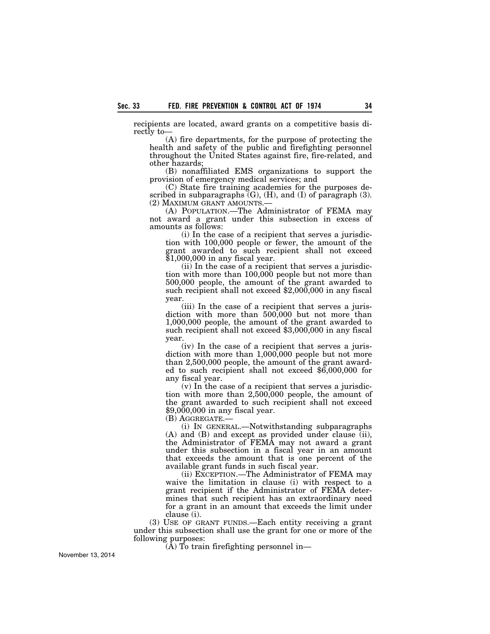recipients are located, award grants on a competitive basis directly to—

(A) fire departments, for the purpose of protecting the health and safety of the public and firefighting personnel throughout the United States against fire, fire-related, and other hazards;

(B) nonaffiliated EMS organizations to support the provision of emergency medical services; and

(C) State fire training academies for the purposes described in subparagraphs  $(G)$ ,  $(H)$ , and  $(I)$  of paragraph  $(3)$ .<br> $(2)$  MAXIMUM GRANT AMOUNTS.—

(A) POPULATION.—The Administrator of FEMA may not award a grant under this subsection in excess of amounts as follows:

(i) In the case of a recipient that serves a jurisdiction with 100,000 people or fewer, the amount of the grant awarded to such recipient shall not exceed \$1,000,000 in any fiscal year.

(ii) In the case of a recipient that serves a jurisdiction with more than 100,000 people but not more than 500,000 people, the amount of the grant awarded to such recipient shall not exceed \$2,000,000 in any fiscal year.

(iii) In the case of a recipient that serves a jurisdiction with more than 500,000 but not more than 1,000,000 people, the amount of the grant awarded to such recipient shall not exceed \$3,000,000 in any fiscal year.

(iv) In the case of a recipient that serves a jurisdiction with more than 1,000,000 people but not more than 2,500,000 people, the amount of the grant awarded to such recipient shall not exceed \$6,000,000 for any fiscal year.

(v) In the case of a recipient that serves a jurisdiction with more than 2,500,000 people, the amount of the grant awarded to such recipient shall not exceed \$9,000,000 in any fiscal year.

(B) AGGREGATE.—

(i) IN GENERAL.—Notwithstanding subparagraphs (A) and (B) and except as provided under clause (ii), the Administrator of FEMA may not award a grant under this subsection in a fiscal year in an amount that exceeds the amount that is one percent of the available grant funds in such fiscal year.

(ii) EXCEPTION.—The Administrator of FEMA may waive the limitation in clause (i) with respect to a grant recipient if the Administrator of FEMA determines that such recipient has an extraordinary need for a grant in an amount that exceeds the limit under clause (i).

(3) USE OF GRANT FUNDS.—Each entity receiving a grant under this subsection shall use the grant for one or more of the following purposes:

(A) To train firefighting personnel in—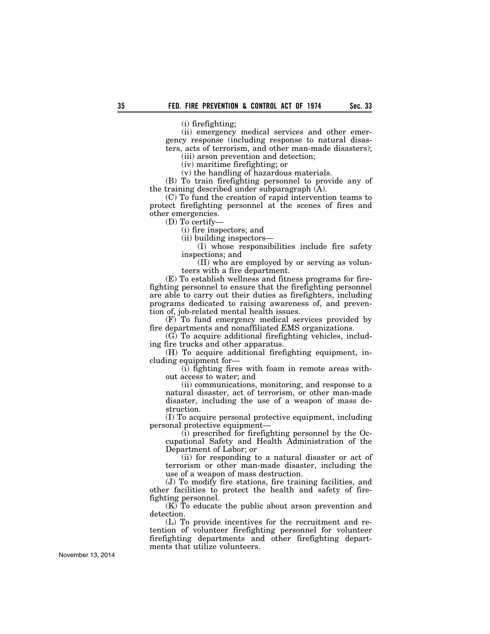(i) firefighting;

(ii) emergency medical services and other emergency response (including response to natural disasters, acts of terrorism, and other man-made disasters);

(iii) arson prevention and detection;

(iv) maritime firefighting; or

(v) the handling of hazardous materials. (B) To train firefighting personnel to provide any of the training described under subparagraph (A).

(C) To fund the creation of rapid intervention teams to protect firefighting personnel at the scenes of fires and other emergencies.

(D) To certify—

(i) fire inspectors; and

(ii) building inspectors—

(I) whose responsibilities include fire safety inspections; and

(II) who are employed by or serving as volunteers with a fire department.

(E) To establish wellness and fitness programs for firefighting personnel to ensure that the firefighting personnel are able to carry out their duties as firefighters, including programs dedicated to raising awareness of, and prevention of, job-related mental health issues.

(F) To fund emergency medical services provided by fire departments and nonaffiliated EMS organizations.

(G) To acquire additional firefighting vehicles, including fire trucks and other apparatus.

(H) To acquire additional firefighting equipment, including equipment for—

(i) fighting fires with foam in remote areas without access to water; and

(ii) communications, monitoring, and response to a natural disaster, act of terrorism, or other man-made disaster, including the use of a weapon of mass destruction.

(I) To acquire personal protective equipment, including personal protective equipment—

(i) prescribed for firefighting personnel by the Occupational Safety and Health Administration of the Department of Labor; or

(ii) for responding to a natural disaster or act of terrorism or other man-made disaster, including the use of a weapon of mass destruction.

(J) To modify fire stations, fire training facilities, and other facilities to protect the health and safety of firefighting personnel.

(K) To educate the public about arson prevention and detection.

(L) To provide incentives for the recruitment and retention of volunteer firefighting personnel for volunteer firefighting departments and other firefighting departments that utilize volunteers.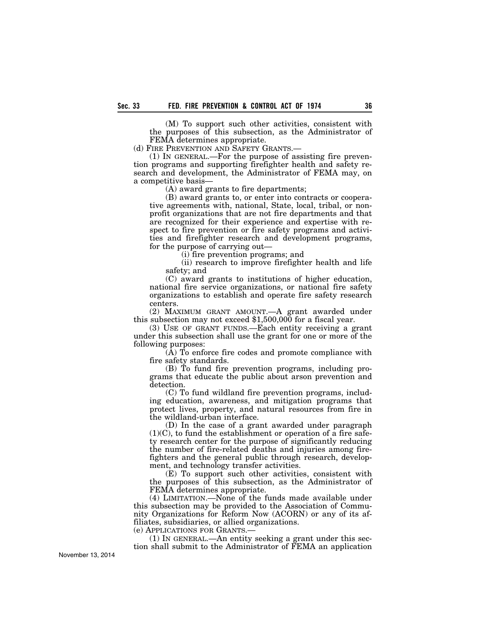(M) To support such other activities, consistent with the purposes of this subsection, as the Administrator of FEMA determines appropriate.

(d) FIRE PREVENTION AND SAFETY GRANTS.—

(1) IN GENERAL.—For the purpose of assisting fire prevention programs and supporting firefighter health and safety research and development, the Administrator of FEMA may, on a competitive basis—

(A) award grants to fire departments;

(B) award grants to, or enter into contracts or cooperative agreements with, national, State, local, tribal, or nonprofit organizations that are not fire departments and that are recognized for their experience and expertise with respect to fire prevention or fire safety programs and activities and firefighter research and development programs, for the purpose of carrying out—

(i) fire prevention programs; and

(ii) research to improve firefighter health and life safety; and

(C) award grants to institutions of higher education, national fire service organizations, or national fire safety organizations to establish and operate fire safety research centers.

(2) MAXIMUM GRANT AMOUNT.—A grant awarded under this subsection may not exceed \$1,500,000 for a fiscal year.

(3) USE OF GRANT FUNDS.—Each entity receiving a grant under this subsection shall use the grant for one or more of the following purposes:

(A) To enforce fire codes and promote compliance with fire safety standards.

(B) To fund fire prevention programs, including programs that educate the public about arson prevention and detection.

(C) To fund wildland fire prevention programs, including education, awareness, and mitigation programs that protect lives, property, and natural resources from fire in the wildland-urban interface.

(D) In the case of a grant awarded under paragraph  $(1)(C)$ , to fund the establishment or operation of a fire safety research center for the purpose of significantly reducing the number of fire-related deaths and injuries among firefighters and the general public through research, development, and technology transfer activities.

(E) To support such other activities, consistent with the purposes of this subsection, as the Administrator of FEMA determines appropriate.

(4) LIMITATION.—None of the funds made available under this subsection may be provided to the Association of Community Organizations for Reform Now (ACORN) or any of its affiliates, subsidiaries, or allied organizations.

(e) APPLICATIONS FOR GRANTS.—

(1) IN GENERAL.—An entity seeking a grant under this section shall submit to the Administrator of FEMA an application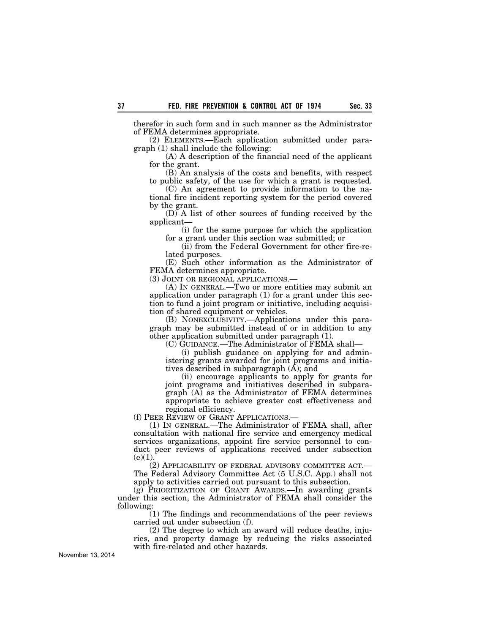therefor in such form and in such manner as the Administrator of FEMA determines appropriate.

(2) ELEMENTS.—Each application submitted under paragraph (1) shall include the following:

(A) A description of the financial need of the applicant for the grant.

(B) An analysis of the costs and benefits, with respect to public safety, of the use for which a grant is requested.

(C) An agreement to provide information to the national fire incident reporting system for the period covered by the grant.

(D) A list of other sources of funding received by the applicant—

(i) for the same purpose for which the application for a grant under this section was submitted; or

(ii) from the Federal Government for other fire-related purposes.

(E) Such other information as the Administrator of FEMA determines appropriate.

(3) JOINT OR REGIONAL APPLICATIONS.—

(A) IN GENERAL.—Two or more entities may submit an application under paragraph (1) for a grant under this section to fund a joint program or initiative, including acquisition of shared equipment or vehicles.

(B) NONEXCLUSIVITY.—Applications under this paragraph may be submitted instead of or in addition to any other application submitted under paragraph (1).

(C) GUIDANCE.—The Administrator of FEMA shall—

(i) publish guidance on applying for and administering grants awarded for joint programs and initiatives described in subparagraph  $(\overline{A})$ ; and

(ii) encourage applicants to apply for grants for joint programs and initiatives described in subparagraph (A) as the Administrator of FEMA determines appropriate to achieve greater cost effectiveness and regional efficiency.

(f) PEER REVIEW OF GRANT APPLICATIONS.—

(1) IN GENERAL.—The Administrator of FEMA shall, after consultation with national fire service and emergency medical services organizations, appoint fire service personnel to conduct peer reviews of applications received under subsection  $(e)(1).$ 

(2) APPLICABILITY OF FEDERAL ADVISORY COMMITTEE ACT.— The Federal Advisory Committee Act (5 U.S.C. App.) shall not apply to activities carried out pursuant to this subsection.

 $(g)$  PRIORITIZATION OF GRANT AWARDS.—In awarding grants under this section, the Administrator of FEMA shall consider the following:

(1) The findings and recommendations of the peer reviews carried out under subsection (f).

(2) The degree to which an award will reduce deaths, injuries, and property damage by reducing the risks associated with fire-related and other hazards.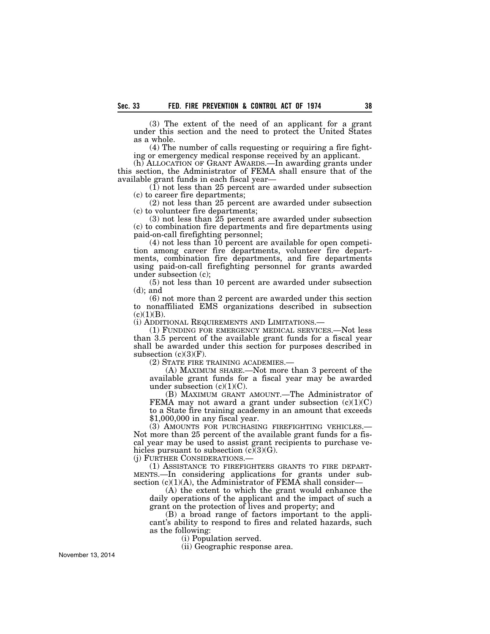(3) The extent of the need of an applicant for a grant under this section and the need to protect the United States as a whole.

(4) The number of calls requesting or requiring a fire fighting or emergency medical response received by an applicant.

(h) ALLOCATION OF GRANT AWARDS.—In awarding grants under this section, the Administrator of FEMA shall ensure that of the available grant funds in each fiscal year—

(1) not less than 25 percent are awarded under subsection (c) to career fire departments;

(2) not less than 25 percent are awarded under subsection (c) to volunteer fire departments;

(3) not less than 25 percent are awarded under subsection (c) to combination fire departments and fire departments using paid-on-call firefighting personnel;

(4) not less than 10 percent are available for open competition among career fire departments, volunteer fire departments, combination fire departments, and fire departments using paid-on-call firefighting personnel for grants awarded under subsection (c);

(5) not less than 10 percent are awarded under subsection (d); and

(6) not more than 2 percent are awarded under this section to nonaffiliated EMS organizations described in subsection  $(c)(1)(B)$ .

(i) ADDITIONAL REQUIREMENTS AND LIMITATIONS.—

(1) FUNDING FOR EMERGENCY MEDICAL SERVICES.—Not less than 3.5 percent of the available grant funds for a fiscal year shall be awarded under this section for purposes described in subsection  $(c)(3)(F)$ .

(2) STATE FIRE TRAINING ACADEMIES.—

(A) MAXIMUM SHARE.—Not more than 3 percent of the available grant funds for a fiscal year may be awarded under subsection  $(c)(1)(C)$ .

(B) MAXIMUM GRANT AMOUNT.—The Administrator of FEMA may not award a grant under subsection  $(c)(1)(C)$ to a State fire training academy in an amount that exceeds \$1,000,000 in any fiscal year.

(3) AMOUNTS FOR PURCHASING FIREFIGHTING VEHICLES.— Not more than 25 percent of the available grant funds for a fiscal year may be used to assist grant recipients to purchase vehicles pursuant to subsection  $(c)(3)(G)$ .

(j) FURTHER CONSIDERATIONS.—

(1) ASSISTANCE TO FIREFIGHTERS GRANTS TO FIRE DEPART-MENTS.—In considering applications for grants under subsection  $(c)(1)(A)$ , the Administrator of FEMA shall consider-

(A) the extent to which the grant would enhance the daily operations of the applicant and the impact of such a grant on the protection of lives and property; and

(B) a broad range of factors important to the applicant's ability to respond to fires and related hazards, such as the following:

(i) Population served.

(ii) Geographic response area.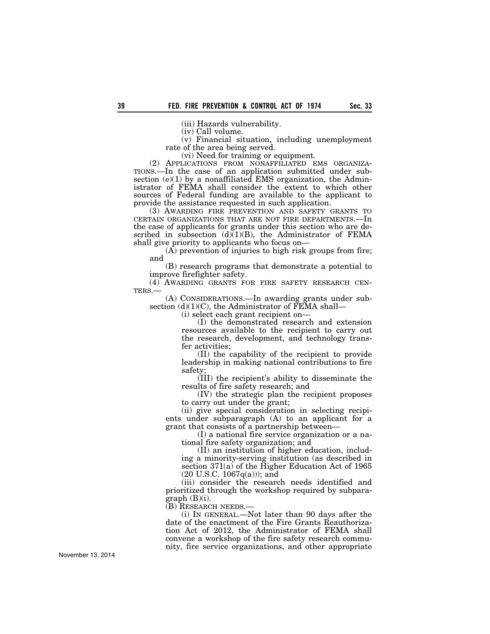(iii) Hazards vulnerability.

(iv) Call volume.

(v) Financial situation, including unemployment rate of the area being served.

(vi) Need for training or equipment.<br>(2) APPLICATIONS FROM NONAFFILIATED EMS ORGANIZA-TIONS.—In the case of an application submitted under subsection  $(e)(1)$  by a nonaffiliated EMS organization, the Administrator of FEMA shall consider the extent to which other sources of Federal funding are available to the applicant to provide the assistance requested in such application.

(3) AWARDING FIRE PREVENTION AND SAFETY GRANTS TO CERTAIN ORGANIZATIONS THAT ARE NOT FIRE DEPARTMENTS.—In the case of applicants for grants under this section who are described in subsection  $(d)(1)(B)$ , the Administrator of FEMA shall give priority to applicants who focus on—

(A) prevention of injuries to high risk groups from fire; and

(B) research programs that demonstrate a potential to improve firefighter safety.

(4) AWARDING GRANTS FOR FIRE SAFETY RESEARCH CENTERS.—<br>(A) CONSIDERATIONS.—In awarding grants under sub-

section  $(d)(1)(C)$ , the Administrator of FEMA shall—

(i) select each grant recipient on—

(I) the demonstrated research and extension resources available to the recipient to carry out the research, development, and technology transfer activities;

(II) the capability of the recipient to provide leadership in making national contributions to fire safety;

(III) the recipient's ability to disseminate the results of fire safety research; and

(IV) the strategic plan the recipient proposes to carry out under the grant;

(ii) give special consideration in selecting recipients under subparagraph (A) to an applicant for a grant that consists of a partnership between—

(I) a national fire service organization or a national fire safety organization; and

(II) an institution of higher education, including a minority-serving institution (as described in section 371(a) of the Higher Education Act of 1965  $(20 \text{ U.S.C. } 1067q(a))$ ; and

(iii) consider the research needs identified and prioritized through the workshop required by subparagraph (B)(i).

(B) RESEARCH NEEDS.—

(i) IN GENERAL.—Not later than 90 days after the date of the enactment of the Fire Grants Reauthorization Act of 2012, the Administrator of FEMA shall convene a workshop of the fire safety research community, fire service organizations, and other appropriate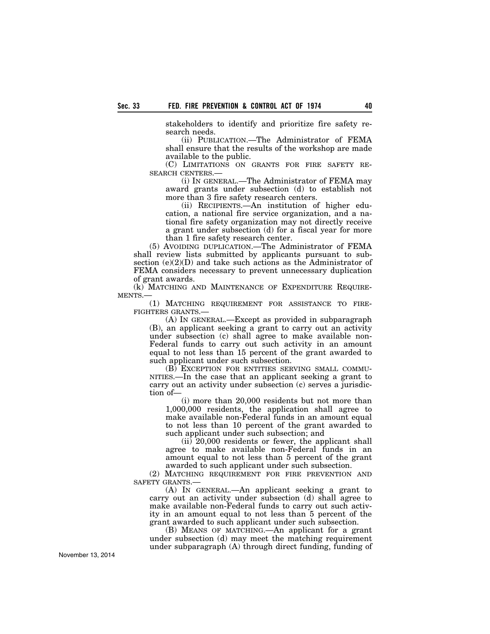stakeholders to identify and prioritize fire safety research needs.

(ii) PUBLICATION.—The Administrator of FEMA shall ensure that the results of the workshop are made available to the public.

(C) LIMITATIONS ON GRANTS FOR FIRE SAFETY RE-SEARCH CENTERS.—

(i) IN GENERAL.—The Administrator of FEMA may award grants under subsection (d) to establish not more than 3 fire safety research centers.

(ii) RECIPIENTS.—An institution of higher education, a national fire service organization, and a national fire safety organization may not directly receive a grant under subsection (d) for a fiscal year for more than 1 fire safety research center.

(5) AVOIDING DUPLICATION.—The Administrator of FEMA shall review lists submitted by applicants pursuant to subsection (e)(2)(D) and take such actions as the Administrator of FEMA considers necessary to prevent unnecessary duplication of grant awards.

(k) MATCHING AND MAINTENANCE OF EXPENDITURE REQUIRE-MENTS.

(1) MATCHING REQUIREMENT FOR ASSISTANCE TO FIRE-FIGHTERS GRANTS.—

(A) IN GENERAL.—Except as provided in subparagraph (B), an applicant seeking a grant to carry out an activity under subsection (c) shall agree to make available non-Federal funds to carry out such activity in an amount equal to not less than 15 percent of the grant awarded to such applicant under such subsection.

(B) EXCEPTION FOR ENTITIES SERVING SMALL COMMU-NITIES.—In the case that an applicant seeking a grant to carry out an activity under subsection (c) serves a jurisdiction of—

(i) more than 20,000 residents but not more than 1,000,000 residents, the application shall agree to make available non-Federal funds in an amount equal to not less than 10 percent of the grant awarded to such applicant under such subsection; and

(ii) 20,000 residents or fewer, the applicant shall agree to make available non-Federal funds in an amount equal to not less than 5 percent of the grant awarded to such applicant under such subsection.

(2) MATCHING REQUIREMENT FOR FIRE PREVENTION AND SAFETY GRANTS.—

(A) IN GENERAL.—An applicant seeking a grant to carry out an activity under subsection (d) shall agree to make available non-Federal funds to carry out such activity in an amount equal to not less than 5 percent of the grant awarded to such applicant under such subsection.

(B) MEANS OF MATCHING.—An applicant for a grant under subsection (d) may meet the matching requirement under subparagraph (A) through direct funding, funding of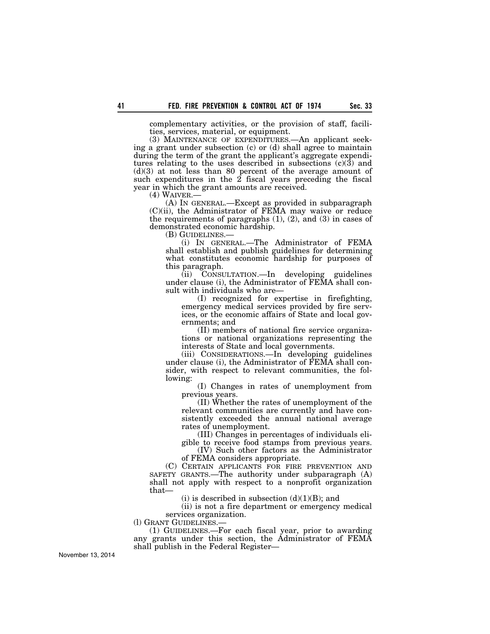complementary activities, or the provision of staff, facilities, services, material, or equipment.

(3) MAINTENANCE OF EXPENDITURES.—An applicant seeking a grant under subsection (c) or (d) shall agree to maintain during the term of the grant the applicant's aggregate expenditures relating to the uses described in subsections  $(c)(3)$  and (d)(3) at not less than 80 percent of the average amount of such expenditures in the  $2$  fiscal years preceding the fiscal year in which the grant amounts are received.<br>(4) WAIVER.—

(A) IN GENERAL.—Except as provided in subparagraph (C)(ii), the Administrator of FEMA may waive or reduce the requirements of paragraphs  $(1)$ ,  $(2)$ , and  $(3)$  in cases of demonstrated economic hardship.<br>(B) GUIDELINES.—

(i) IN GENERAL.—The Administrator of FEMA shall establish and publish guidelines for determining what constitutes economic hardship for purposes of this paragraph.

(ii) CONSULTATION.—In developing guidelines under clause (i), the Administrator of FEMA shall consult with individuals who are—

(I) recognized for expertise in firefighting, emergency medical services provided by fire services, or the economic affairs of State and local governments; and

(II) members of national fire service organizations or national organizations representing the interests of State and local governments.

(iii) CONSIDERATIONS.—In developing guidelines under clause (i), the Administrator of FEMA shall consider, with respect to relevant communities, the following:

(I) Changes in rates of unemployment from previous years.

(II) Whether the rates of unemployment of the relevant communities are currently and have consistently exceeded the annual national average rates of unemployment.

(III) Changes in percentages of individuals eligible to receive food stamps from previous years.

(IV) Such other factors as the Administrator of FEMA considers appropriate.

(C) CERTAIN APPLICANTS FOR FIRE PREVENTION AND SAFETY GRANTS.—The authority under subparagraph (A) shall not apply with respect to a nonprofit organization that—

(i) is described in subsection  $(d)(1)(B)$ ; and

(ii) is not a fire department or emergency medical services organization.

(l) GRANT GUIDELINES.—

(1) GUIDELINES.—For each fiscal year, prior to awarding any grants under this section, the Administrator of FEMA shall publish in the Federal Register—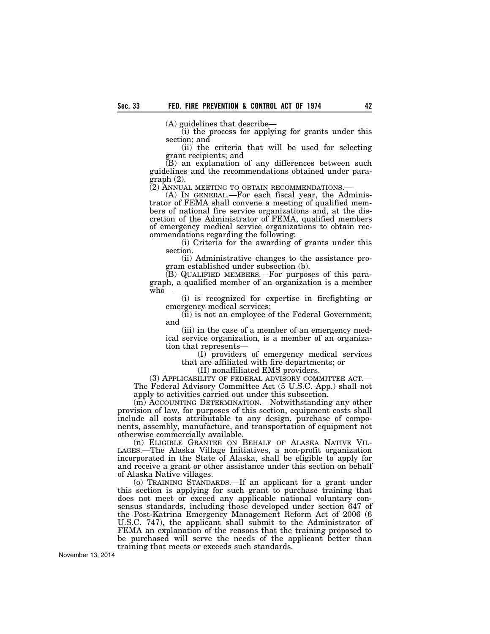(A) guidelines that describe—

(i) the process for applying for grants under this section; and

(ii) the criteria that will be used for selecting grant recipients; and

(B) an explanation of any differences between such guidelines and the recommendations obtained under paragraph (2).

(2) ANNUAL MEETING TO OBTAIN RECOMMENDATIONS.— (A) IN GENERAL.—For each fiscal year, the Adminis-

trator of FEMA shall convene a meeting of qualified members of national fire service organizations and, at the discretion of the Administrator of FEMA, qualified members of emergency medical service organizations to obtain recommendations regarding the following:

(i) Criteria for the awarding of grants under this section.

(ii) Administrative changes to the assistance program established under subsection (b).

(B) QUALIFIED MEMBERS.—For purposes of this paragraph, a qualified member of an organization is a member who—

(i) is recognized for expertise in firefighting or emergency medical services;

(ii) is not an employee of the Federal Government; and

(iii) in the case of a member of an emergency medical service organization, is a member of an organization that represents—

(I) providers of emergency medical services that are affiliated with fire departments; or

(II) nonaffiliated EMS providers.

(3) APPLICABILITY OF FEDERAL ADVISORY COMMITTEE ACT.— The Federal Advisory Committee Act (5 U.S.C. App.) shall not apply to activities carried out under this subsection.

(m) ACCOUNTING DETERMINATION.—Notwithstanding any other provision of law, for purposes of this section, equipment costs shall include all costs attributable to any design, purchase of components, assembly, manufacture, and transportation of equipment not otherwise commercially available.

(n) ELIGIBLE GRANTEE ON BEHALF OF ALASKA NATIVE VIL-LAGES.—The Alaska Village Initiatives, a non-profit organization incorporated in the State of Alaska, shall be eligible to apply for and receive a grant or other assistance under this section on behalf of Alaska Native villages.

(o) TRAINING STANDARDS.—If an applicant for a grant under this section is applying for such grant to purchase training that does not meet or exceed any applicable national voluntary consensus standards, including those developed under section 647 of the Post-Katrina Emergency Management Reform Act of 2006 (6 U.S.C. 747), the applicant shall submit to the Administrator of FEMA an explanation of the reasons that the training proposed to be purchased will serve the needs of the applicant better than training that meets or exceeds such standards.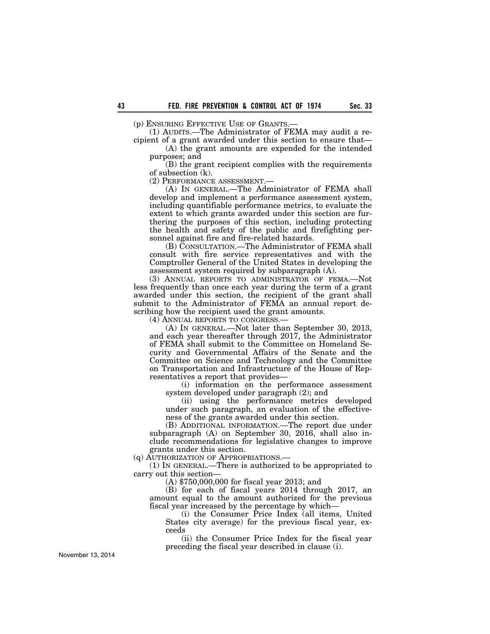(p) ENSURING EFFECTIVE USE OF GRANTS.—

(1) AUDITS.—The Administrator of FEMA may audit a recipient of a grant awarded under this section to ensure that—

(A) the grant amounts are expended for the intended purposes; and

(B) the grant recipient complies with the requirements of subsection (k).

(2) PERFORMANCE ASSESSMENT.—

(A) IN GENERAL.—The Administrator of FEMA shall develop and implement a performance assessment system, including quantifiable performance metrics, to evaluate the extent to which grants awarded under this section are furthering the purposes of this section, including protecting the health and safety of the public and firefighting personnel against fire and fire-related hazards.

(B) CONSULTATION.—The Administrator of FEMA shall consult with fire service representatives and with the Comptroller General of the United States in developing the assessment system required by subparagraph (A).

(3) ANNUAL REPORTS TO ADMINISTRATOR OF FEMA.—Not less frequently than once each year during the term of a grant awarded under this section, the recipient of the grant shall submit to the Administrator of FEMA an annual report describing how the recipient used the grant amounts.

(4) ANNUAL REPORTS TO CONGRESS.—

(A) IN GENERAL.—Not later than September 30, 2013, and each year thereafter through 2017, the Administrator of FEMA shall submit to the Committee on Homeland Security and Governmental Affairs of the Senate and the Committee on Science and Technology and the Committee on Transportation and Infrastructure of the House of Representatives a report that provides—

(i) information on the performance assessment system developed under paragraph (2); and

(ii) using the performance metrics developed under such paragraph, an evaluation of the effectiveness of the grants awarded under this section.

(B) ADDITIONAL INFORMATION.—The report due under subparagraph (A) on September 30, 2016, shall also include recommendations for legislative changes to improve grants under this section.

(q) AUTHORIZATION OF APPROPRIATIONS.—

(1) IN GENERAL.—There is authorized to be appropriated to carry out this section—

(A) \$750,000,000 for fiscal year 2013; and

(B) for each of fiscal years 2014 through 2017, an amount equal to the amount authorized for the previous fiscal year increased by the percentage by which—

(i) the Consumer Price Index (all items, United States city average) for the previous fiscal year, exceeds

(ii) the Consumer Price Index for the fiscal year preceding the fiscal year described in clause (i).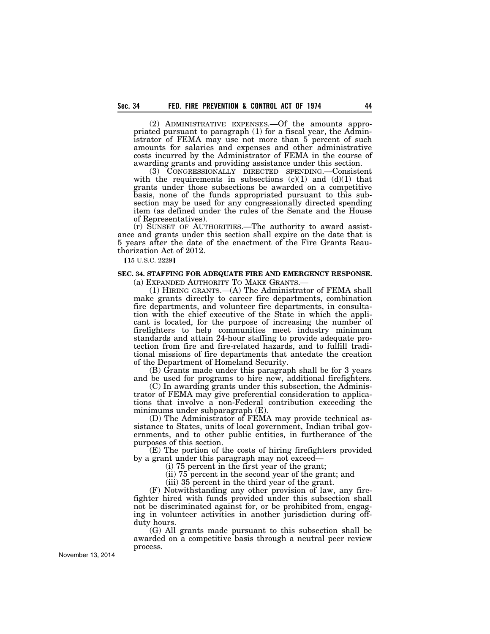(2) ADMINISTRATIVE EXPENSES.—Of the amounts appropriated pursuant to paragraph (1) for a fiscal year, the Administrator of FEMA may use not more than 5 percent of such amounts for salaries and expenses and other administrative costs incurred by the Administrator of FEMA in the course of awarding grants and providing assistance under this section.

(3) CONGRESSIONALLY DIRECTED SPENDING.—Consistent with the requirements in subsections  $(c)(1)$  and  $(d)(1)$  that grants under those subsections be awarded on a competitive basis, none of the funds appropriated pursuant to this subsection may be used for any congressionally directed spending item (as defined under the rules of the Senate and the House of Representatives).

(r) SUNSET OF AUTHORITIES.—The authority to award assistance and grants under this section shall expire on the date that is 5 years after the date of the enactment of the Fire Grants Reauthorization Act of 2012.

[15 U.S.C. 2229]

# **SEC. 34. STAFFING FOR ADEQUATE FIRE AND EMERGENCY RESPONSE.**

(a) EXPANDED AUTHORITY TO MAKE GRANTS.— (1) HIRING GRANTS.—(A) The Administrator of FEMA shall make grants directly to career fire departments, combination fire departments, and volunteer fire departments, in consultation with the chief executive of the State in which the applicant is located, for the purpose of increasing the number of firefighters to help communities meet industry minimum standards and attain 24-hour staffing to provide adequate protection from fire and fire-related hazards, and to fulfill traditional missions of fire departments that antedate the creation of the Department of Homeland Security.

(B) Grants made under this paragraph shall be for 3 years and be used for programs to hire new, additional firefighters.

(C) In awarding grants under this subsection, the Administrator of FEMA may give preferential consideration to applications that involve a non-Federal contribution exceeding the minimums under subparagraph (E).

(D) The Administrator of FEMA may provide technical assistance to States, units of local government, Indian tribal governments, and to other public entities, in furtherance of the purposes of this section.

(E) The portion of the costs of hiring firefighters provided by a grant under this paragraph may not exceed—

(i) 75 percent in the first year of the grant;

(ii) 75 percent in the second year of the grant; and

(iii) 35 percent in the third year of the grant.

(F) Notwithstanding any other provision of law, any firefighter hired with funds provided under this subsection shall not be discriminated against for, or be prohibited from, engaging in volunteer activities in another jurisdiction during offduty hours.

(G) All grants made pursuant to this subsection shall be awarded on a competitive basis through a neutral peer review process.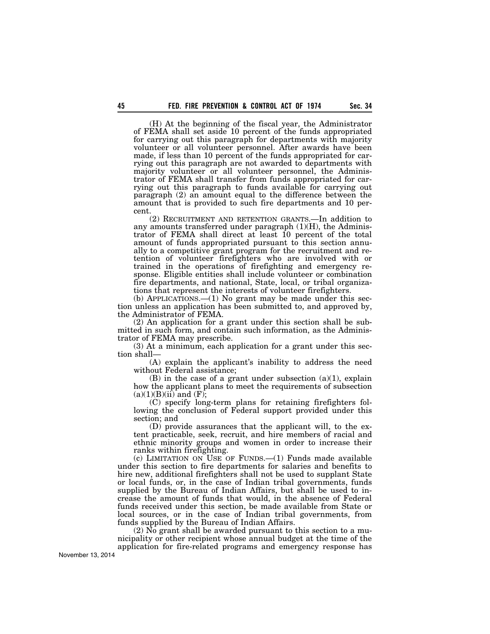(H) At the beginning of the fiscal year, the Administrator of FEMA shall set aside 10 percent of the funds appropriated for carrying out this paragraph for departments with majority volunteer or all volunteer personnel. After awards have been made, if less than 10 percent of the funds appropriated for carrying out this paragraph are not awarded to departments with majority volunteer or all volunteer personnel, the Administrator of FEMA shall transfer from funds appropriated for carrying out this paragraph to funds available for carrying out paragraph (2) an amount equal to the difference between the amount that is provided to such fire departments and 10 percent.

(2) RECRUITMENT AND RETENTION GRANTS.—In addition to any amounts transferred under paragraph  $(1)(H)$ , the Administrator of FEMA shall direct at least 10 percent of the total amount of funds appropriated pursuant to this section annually to a competitive grant program for the recruitment and retention of volunteer firefighters who are involved with or trained in the operations of firefighting and emergency response. Eligible entities shall include volunteer or combination fire departments, and national, State, local, or tribal organizations that represent the interests of volunteer firefighters.

(b) APPLICATIONS.—(1) No grant may be made under this section unless an application has been submitted to, and approved by, the Administrator of FEMA.

(2) An application for a grant under this section shall be submitted in such form, and contain such information, as the Administrator of FEMA may prescribe.

(3) At a minimum, each application for a grant under this section shall—

(A) explain the applicant's inability to address the need without Federal assistance;

 $(B)$  in the case of a grant under subsection  $(a)(1)$ , explain how the applicant plans to meet the requirements of subsection  $(a)(1)(B)(ii)$  and  $(F);$ 

(C) specify long-term plans for retaining firefighters following the conclusion of Federal support provided under this section; and

(D) provide assurances that the applicant will, to the extent practicable, seek, recruit, and hire members of racial and ethnic minority groups and women in order to increase their ranks within firefighting.

(c) LIMITATION ON USE OF FUNDS.—(1) Funds made available under this section to fire departments for salaries and benefits to hire new, additional firefighters shall not be used to supplant State or local funds, or, in the case of Indian tribal governments, funds supplied by the Bureau of Indian Affairs, but shall be used to increase the amount of funds that would, in the absence of Federal funds received under this section, be made available from State or local sources, or in the case of Indian tribal governments, from funds supplied by the Bureau of Indian Affairs.

 $(2)$   $\bar{No}$  grant shall be awarded pursuant to this section to a municipality or other recipient whose annual budget at the time of the application for fire-related programs and emergency response has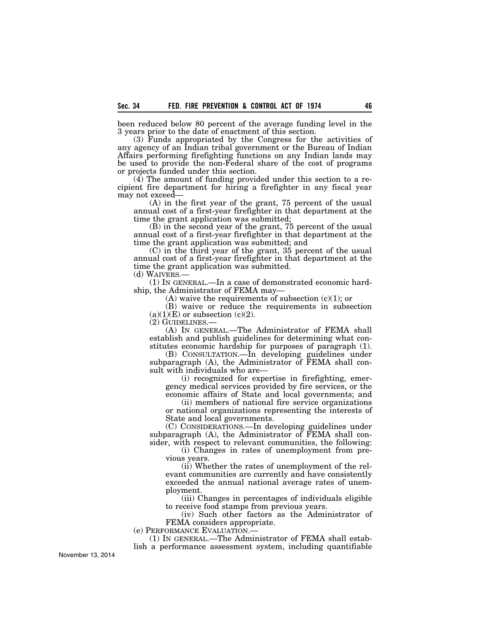been reduced below 80 percent of the average funding level in the 3 years prior to the date of enactment of this section.

(3) Funds appropriated by the Congress for the activities of any agency of an Indian tribal government or the Bureau of Indian Affairs performing firefighting functions on any Indian lands may be used to provide the non-Federal share of the cost of programs or projects funded under this section.

(4) The amount of funding provided under this section to a recipient fire department for hiring a firefighter in any fiscal year may not exceed—

(A) in the first year of the grant, 75 percent of the usual annual cost of a first-year firefighter in that department at the time the grant application was submitted;

(B) in the second year of the grant, 75 percent of the usual annual cost of a first-year firefighter in that department at the time the grant application was submitted; and

(C) in the third year of the grant, 35 percent of the usual annual cost of a first-year firefighter in that department at the time the grant application was submitted.<br>(d) WAIVERS.—

 $(1)$  In GENERAL.—In a case of demonstrated economic hardship, the Administrator of FEMA may—

(A) waive the requirements of subsection  $(c)(1)$ ; or

(B) waive or reduce the requirements in subsection  $(a)(1)(E)$  or subsection  $(c)(2)$ .

(2) GUIDELINES.—

(A) IN GENERAL.—The Administrator of FEMA shall establish and publish guidelines for determining what constitutes economic hardship for purposes of paragraph (1).

(B) CONSULTATION.—In developing guidelines under subparagraph (A), the Administrator of FEMA shall consult with individuals who are—

(i) recognized for expertise in firefighting, emergency medical services provided by fire services, or the economic affairs of State and local governments; and

(ii) members of national fire service organizations or national organizations representing the interests of State and local governments.

(C) CONSIDERATIONS.—In developing guidelines under subparagraph (A), the Administrator of FEMA shall consider, with respect to relevant communities, the following:

(i) Changes in rates of unemployment from previous years.

(ii) Whether the rates of unemployment of the relevant communities are currently and have consistently exceeded the annual national average rates of unemployment.

(iii) Changes in percentages of individuals eligible to receive food stamps from previous years.

(iv) Such other factors as the Administrator of FEMA considers appropriate.

(e) PERFORMANCE EVALUATION.—

(1) IN GENERAL.—The Administrator of FEMA shall establish a performance assessment system, including quantifiable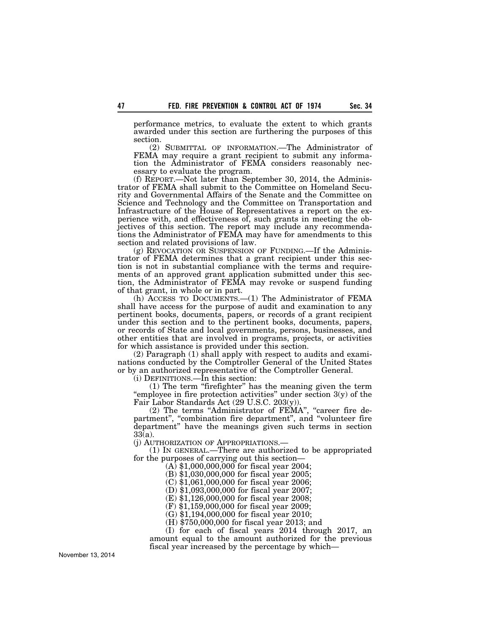performance metrics, to evaluate the extent to which grants awarded under this section are furthering the purposes of this section.

(2) SUBMITTAL OF INFORMATION.—The Administrator of FEMA may require a grant recipient to submit any information the Administrator of FEMA considers reasonably necessary to evaluate the program.

(f) REPORT.—Not later than September 30, 2014, the Administrator of FEMA shall submit to the Committee on Homeland Security and Governmental Affairs of the Senate and the Committee on Science and Technology and the Committee on Transportation and Infrastructure of the House of Representatives a report on the experience with, and effectiveness of, such grants in meeting the objectives of this section. The report may include any recommendations the Administrator of FEMA may have for amendments to this section and related provisions of law.

(g) REVOCATION OR SUSPENSION OF FUNDING.—If the Administrator of FEMA determines that a grant recipient under this section is not in substantial compliance with the terms and requirements of an approved grant application submitted under this section, the Administrator of FEMA may revoke or suspend funding of that grant, in whole or in part.

(h) ACCESS TO DOCUMENTS.—(1) The Administrator of FEMA shall have access for the purpose of audit and examination to any pertinent books, documents, papers, or records of a grant recipient under this section and to the pertinent books, documents, papers, or records of State and local governments, persons, businesses, and other entities that are involved in programs, projects, or activities for which assistance is provided under this section.

(2) Paragraph (1) shall apply with respect to audits and examinations conducted by the Comptroller General of the United States or by an authorized representative of the Comptroller General.

(i) DEFINITIONS.—In this section:

(1) The term ''firefighter'' has the meaning given the term "employee in fire protection activities" under section 3(y) of the Fair Labor Standards Act (29 U.S.C. 203(y)).

(2) The terms "Administrator of FEMA", "career fire department", "combination fire department", and "volunteer fire department'' have the meanings given such terms in section 33(a).

(j) AUTHORIZATION OF APPROPRIATIONS.—

(1) IN GENERAL.—There are authorized to be appropriated for the purposes of carrying out this section—

(A) \$1,000,000,000 for fiscal year 2004;

(B) \$1,030,000,000 for fiscal year 2005;

(C) \$1,061,000,000 for fiscal year 2006;

(D) \$1,093,000,000 for fiscal year 2007;

(E) \$1,126,000,000 for fiscal year 2008; (F) \$1,159,000,000 for fiscal year 2009;

(G) \$1,194,000,000 for fiscal year 2010;

(H) \$750,000,000 for fiscal year 2013; and

(I) for each of fiscal years 2014 through 2017, an

amount equal to the amount authorized for the previous fiscal year increased by the percentage by which—